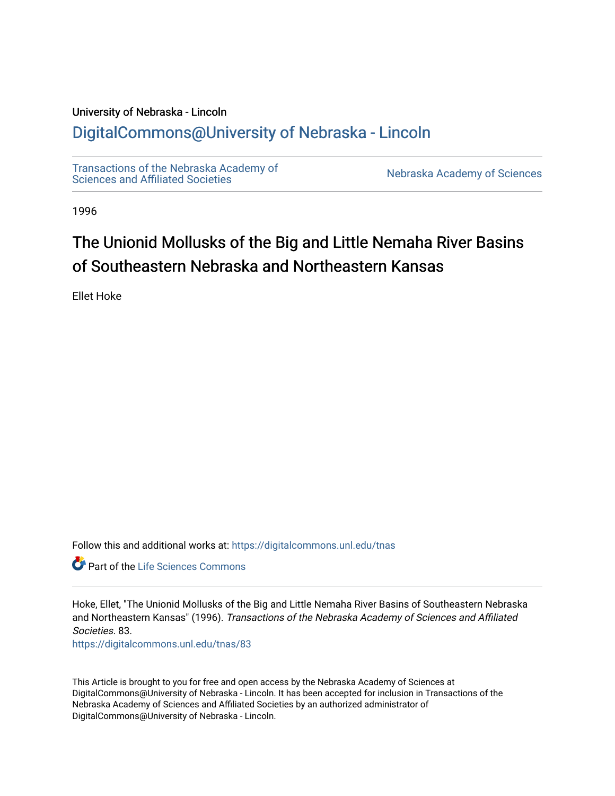# University of Nebraska - Lincoln [DigitalCommons@University of Nebraska - Lincoln](https://digitalcommons.unl.edu/)

[Transactions of the Nebraska Academy of](https://digitalcommons.unl.edu/tnas)  Transactions of the Nebraska Academy of Sciences<br>Sciences and Affiliated Societies

1996

# The Unionid Mollusks of the Big and Little Nemaha River Basins of Southeastern Nebraska and Northeastern Kansas

Ellet Hoke

Follow this and additional works at: [https://digitalcommons.unl.edu/tnas](https://digitalcommons.unl.edu/tnas?utm_source=digitalcommons.unl.edu%2Ftnas%2F83&utm_medium=PDF&utm_campaign=PDFCoverPages) 

Part of the [Life Sciences Commons](http://network.bepress.com/hgg/discipline/1016?utm_source=digitalcommons.unl.edu%2Ftnas%2F83&utm_medium=PDF&utm_campaign=PDFCoverPages) 

Hoke, Ellet, "The Unionid Mollusks of the Big and Little Nemaha River Basins of Southeastern Nebraska and Northeastern Kansas" (1996). Transactions of the Nebraska Academy of Sciences and Affiliated Societies. 83.

[https://digitalcommons.unl.edu/tnas/83](https://digitalcommons.unl.edu/tnas/83?utm_source=digitalcommons.unl.edu%2Ftnas%2F83&utm_medium=PDF&utm_campaign=PDFCoverPages)

This Article is brought to you for free and open access by the Nebraska Academy of Sciences at DigitalCommons@University of Nebraska - Lincoln. It has been accepted for inclusion in Transactions of the Nebraska Academy of Sciences and Affiliated Societies by an authorized administrator of DigitalCommons@University of Nebraska - Lincoln.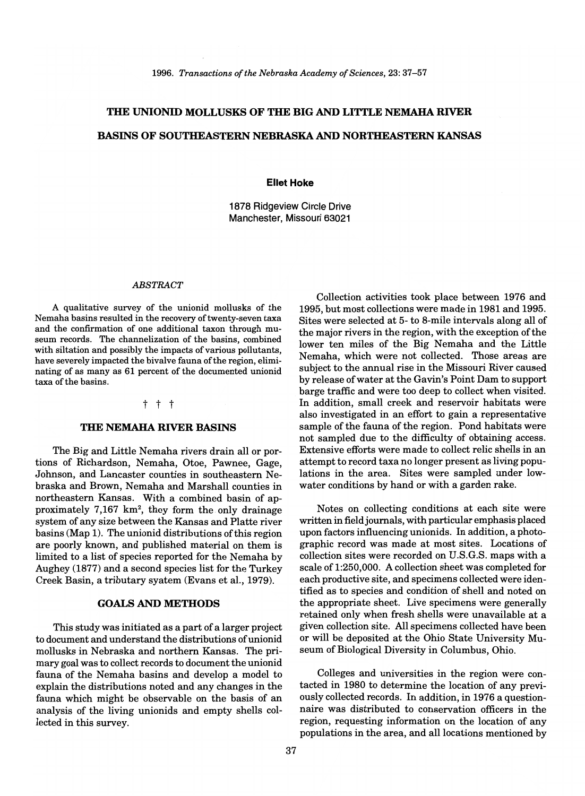# **THE UNIONID MOLLUSKS OF THE BIG AND LITTLE NEMAHA RIVER BASINS OF SOUTHEASTERN NEBRASKA AND NORTHEASTERN KANSAS**

#### **Ellet Hoke**

1878 Ridgeview Circle Drive Manchester, Missouri 63021

#### *ABSTRACT*

A qualitative survey of the unionid mollusks of the Nemaha basins resulted in the recovery of twenty-seven taxa and the confirmation of one additional taxon through museum records. The channelization of the basins, combined with siltation and possibly the impacts of various pollutants, have severely impacted the bivalve fauna of the region, eliminating of as many as 61 percent of the documented unionid taxa of the basins.

#### t t t

#### **THE NEMAHA RIVER BASINS**

The Big and Little Nemaha rivers drain all or portions of Richardson, Nemaha, Otoe, Pawnee, Gage, Johnson, and Lancaster counties in southeastern Nebraska and Brown, Nemaha and Marshall counties in northeastern Kansas. With a combined basin of approximately 7,167 km2, they form the only drainage system of any size between the Kansas and Platte river basins (Map 1). The unionid distributions of this region are poorly known, and published material on them is limited to a list of species reported for the Nemaha by Aughey (1877) and a second species list for the Turkey Creek Basin, a tributary syatem (Evans et al., 1979).

#### **GOALS AND METHODS**

This study was initiated as a part of a larger project to document and understand the distributions of unionid mollusks in Nebraska and northern Kansas. The primary goal was to collect records to document the unionid fauna of the Nemaha basins and develop a model to explain the distributions noted and any changes in the fauna which might be observable on the basis of an analysis of the living unionids and empty shells collected in this survey.

Collection activities took place between 1976 and 1995, but most collections were made in 1981 and 1995. Sites were selected at 5- to 8-mile intervals along all of the major rivers in the region, with the exception of the lower ten miles of the Big Nemaha and the Little Nemaha, which were not collected. Those areas are subject to the annual rise in the Missouri River caused by release of water at the Gavin's Point Dam to support barge traffic and were too deep to collect when visited. In addition, small creek and reservoir habitats were also investigated in an effort to gain a representative sample of the fauna of the region. Pond habitats were not sampled due to the difficulty of obtaining access. Extensive efforts were made to collect relic shells in an attempt to record taxa no longer present as living populations in the area. Sites were sampled under lowwater conditions by hand or with a garden rake.

Notes on collecting conditions at each site were written in field journals, with particular emphasis placed upon factors influencing unionids. In addition, a photographic record was made at most sites. Locations of collection sites were recorded on U.S.G.S. maps with a scale of 1:250,000. A collection sheet was completed for each productive site, and specimens collected were identified as to species and condition of shell and noted on the appropriate sheet. Live specimens were generally retained only when fresh shells were unavailable at a given collection site. All specimens collected have been or will be deposited at the Ohio State University Museum of Biological Diversity in Columbus, Ohio.

Colleges and universities in the region were contacted in 1980 to determine the location of any previously collected records. In addition, in 1976 a questionnaire was distributed to conservation officers in the region, requesting information on the location of any populations in the area, and all locations mentioned by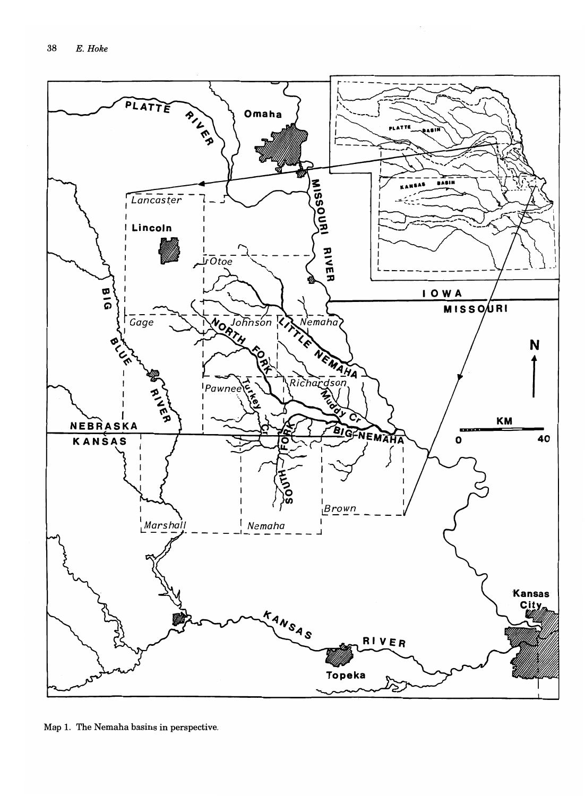

Map 1. The Nemaha basins in perspective.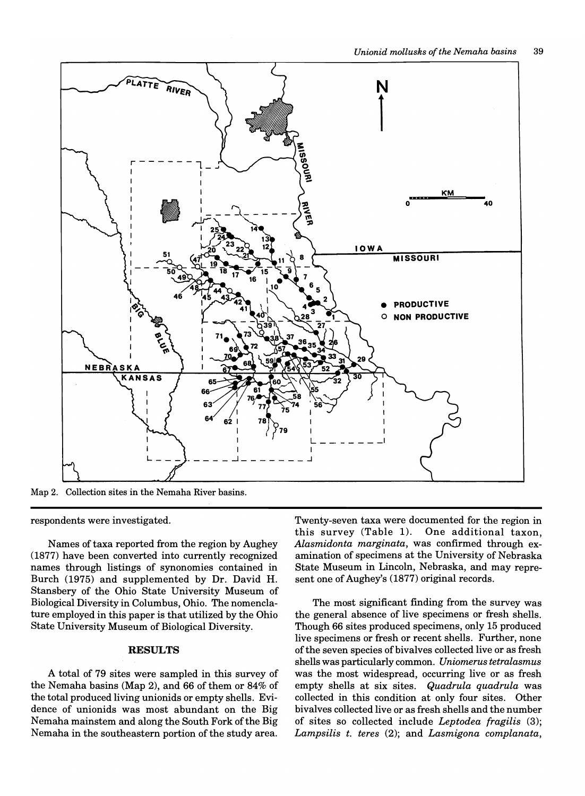

Map 2. Collection sites in the Nemaha River basins.

respondents were investigated.

Names of taxa reported from the region by Aughey (1877) have been converted into currently recognized names through listings of synonomies contained in Burch (1975) and supplemented by Dr. David H. Stansbery of the Ohio State University Museum of Biological Diversity in Columbus, Ohio. The nomenclature employed in this paper is that utilized by the Ohio State University Museum of Biological Diversity.

### **RESULTS**

A total of 79 sites were sampled in this survey of the Nemaha basins (Map 2), and 66 of them or 84% of the total produced living unionids or empty shells. Evidence of unionids was most abundant on the Big Nemaha mainstem and along the South Fork of the Big Nemaha in the southeastern portion of the study area.

Twenty-seven taxa were documented for the region in this survey (Table 1). One additional taxon, *Alasmidonta marginata,* was confirmed through examination of specimens at the University of Nebraska State Museum in Lincoln, Nebraska, and may represent one of Aughey's (1877) original records.

The most significant finding from the survey was the general absence of live specimens or fresh shells. Though 66 sites produced specimens, only 15 produced live specimens or fresh or recent shells. Further, none ofthe seven species of bivalves collected live or as fresh shells was particularly common. *Uniomerus tetralasmus*  was the most widespread, occurring live or as fresh empty shells at six sites. *Quadrula quadrula* was collected in this condition at only four sites. Other bivalves collected live or as fresh shells and the number of sites so collected include *Leptodea fragilis (3); Lampsilis t. teres* (2); and *Lasmigona complanata,*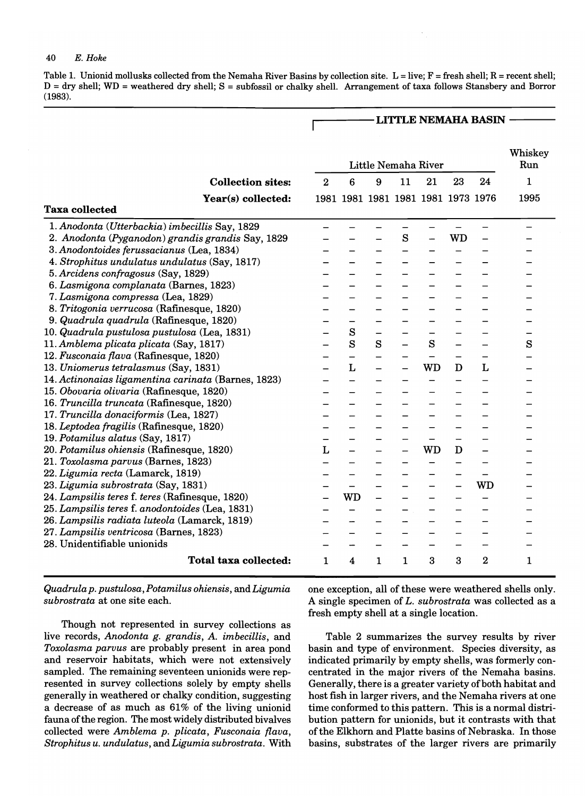#### *40 E. Hoke*

Table 1. Unionid mollusks collected from the Nemaha River Basins by collection site.  $L = live$ ;  $F = fresh$  shell;  $R = recent$  shell; D = dry shell; WD = weathered dry shell; S = subfossil or chalky shell. Arrangement of taxa follows Stansbery and Borror (1983).

Г

## LITTLE NEMAHA BASIN -

|                                                     |                              | Little Nemaha River |           |   |    |                                    |    | Whiskey<br>Run |      |
|-----------------------------------------------------|------------------------------|---------------------|-----------|---|----|------------------------------------|----|----------------|------|
|                                                     | <b>Collection sites:</b>     | $\overline{2}$      | 6         | 9 | 11 | 21                                 | 23 | 24             | 1    |
|                                                     | Year(s) collected:           |                     |           |   |    | 1981 1981 1981 1981 1981 1973 1976 |    |                | 1995 |
| <b>Taxa collected</b>                               |                              |                     |           |   |    |                                    |    |                |      |
| 1. Anodonta (Utterbackia) imbecillis Say, 1829      |                              |                     |           |   |    |                                    |    |                |      |
| 2. Anodonta (Pyganodon) grandis grandis Say, 1829   |                              |                     |           |   | S  |                                    | WD |                |      |
| 3. Anodontoides ferussacianus (Lea, 1834)           |                              |                     |           |   |    |                                    |    |                |      |
| 4. Strophitus undulatus undulatus (Say, 1817)       |                              |                     |           |   |    |                                    |    |                |      |
| 5. Arcidens confragosus (Say, 1829)                 |                              |                     |           |   |    |                                    |    |                |      |
| 6. Lasmigona complanata (Barnes, 1823)              |                              |                     |           |   |    |                                    |    |                |      |
| 7. Lasmigona compressa (Lea, 1829)                  |                              |                     |           |   |    |                                    |    |                |      |
| 8. Tritogonia verrucosa (Rafinesque, 1820)          |                              |                     |           |   |    |                                    |    |                |      |
| 9. Quadrula quadrula (Rafinesque, 1820)             |                              |                     |           |   |    |                                    |    |                |      |
| 10. Quadrula pustulosa pustulosa (Lea, 1831)        |                              |                     | $\bf S$   |   |    |                                    |    |                |      |
| 11. Amblema plicata plicata (Say, 1817)             |                              |                     | S         | S |    | S                                  |    |                | S    |
| 12. Fusconaia flava (Rafinesque, 1820)              |                              |                     |           |   |    |                                    |    |                |      |
| 13. Uniomerus tetralasmus (Say, 1831)               |                              |                     | L         |   |    | <b>WD</b>                          | D  | L              |      |
| 14. Actinonaias ligamentina carinata (Barnes, 1823) |                              |                     |           |   |    |                                    |    |                |      |
| 15. Obovaria olivaria (Rafinesque, 1820)            |                              |                     |           |   |    |                                    |    |                |      |
| 16. Truncilla truncata (Rafinesque, 1820)           |                              |                     |           |   |    |                                    |    |                |      |
| 17. Truncilla donaciformis (Lea, 1827)              |                              |                     |           |   |    |                                    |    |                |      |
| 18. Leptodea fragilis (Rafinesque, 1820)            |                              |                     |           |   |    |                                    |    |                |      |
| 19. Potamilus alatus (Say, 1817)                    |                              |                     |           |   |    |                                    |    |                |      |
| 20. Potamilus ohiensis (Rafinesque, 1820)           |                              | L                   |           |   |    | WD                                 | D  |                |      |
| 21. Toxolasma parvus (Barnes, 1823)                 |                              |                     |           |   |    |                                    |    |                |      |
| 22. Ligumia recta (Lamarck, 1819)                   |                              |                     |           |   |    |                                    |    |                |      |
| 23. Ligumia subrostrata (Say, 1831)                 |                              |                     |           |   |    |                                    |    | WD             |      |
| 24. Lampsilis teres f. teres (Rafinesque, 1820)     |                              |                     | <b>WD</b> |   |    |                                    |    |                |      |
| 25. Lampsilis teres f. anodontoides (Lea, 1831)     |                              |                     |           |   |    |                                    |    |                |      |
| 26. Lampsilis radiata luteola (Lamarck, 1819)       |                              |                     |           |   |    |                                    |    |                |      |
| 27. Lampsilis ventricosa (Barnes, 1823)             |                              |                     |           |   |    |                                    |    |                |      |
| 28. Unidentifiable unionids                         |                              |                     |           |   |    |                                    |    |                |      |
|                                                     | <b>Total taxa collected:</b> | 1                   | 4         | 1 | 1  | 3                                  | 3  | 2              | 1    |

*Quadrula p. pustulosa, Potamilus ohiensis,* and *Ligumia subrostrata* at one site each.

Though not represented in survey collections as live records, *Anodonta g. grandis,* A. *imbecillis,* and *Toxolasma parvus* are probably present in area pond and reservoir habitats, which were not extensively sampled. The remaining seventeen unionids were represented in survey collections solely by empty shells generally in weathered or chalky condition, suggesting a decrease of as much as 61% of the living unionid fauna of the region. The most widely distributed bivalves collected were *Amblema p. plicata, Fusconaia /lava, Strophitus u. undulatus,* and *Ligumia subrostrata.* With one exception, all of these were weathered shells only. A single specimen of *L. subrostrata* was collected as a fresh empty shell at a single location.

Table 2 summarizes the survey results by river basin and type of environment. Species diversity, as indicated primarily by empty shells, was formerly concentrated in the major rivers of the Nemaha basins. Generally, there is a greater variety of both habitat and host fish in larger rivers, and the Nemaha rivers at one time conformed to this pattern. This is a normal distribution pattern for unionids, but it contrasts with that of the Elkhorn and Platte basins of Nebraska. In those basins, substrates of the larger rivers are primarily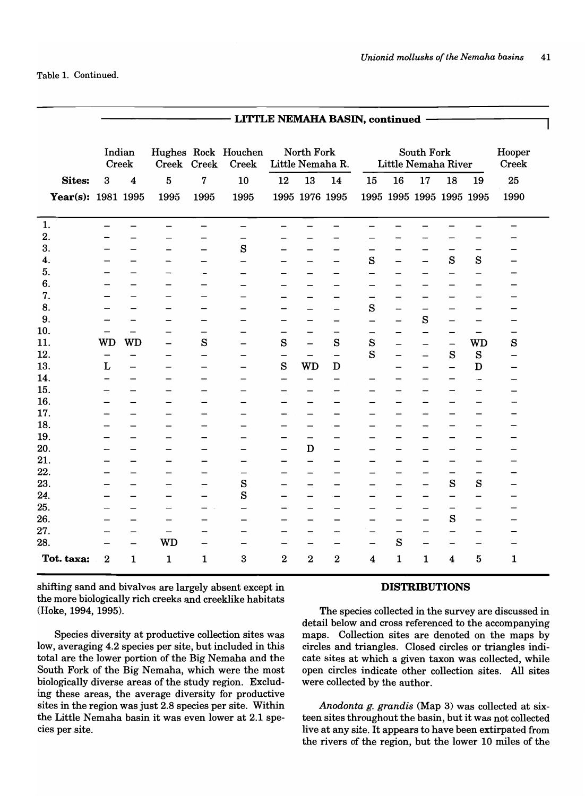Table 1. Continued.

|                    | - LITTLE NEMAHA BASIN, continued - |                          |                          |                          |                              |                                |                          |                          |                          |                          |                          |                          |                          |                          |
|--------------------|------------------------------------|--------------------------|--------------------------|--------------------------|------------------------------|--------------------------------|--------------------------|--------------------------|--------------------------|--------------------------|--------------------------|--------------------------|--------------------------|--------------------------|
|                    | Indian<br>Creek                    |                          | Creek Creek              |                          | Hughes Rock Houchen<br>Creek | North Fork<br>Little Nemaha R. |                          |                          | Little Nemaha River      | Hooper<br>Creek          |                          |                          |                          |                          |
| <b>Sites:</b>      | 3                                  | $\overline{\mathbf{4}}$  | $\overline{5}$           | 7                        | 10                           | 12                             | 13                       | 14                       | 15                       | 16                       | 17                       | 18                       | 19                       | 25                       |
| Year(s): 1981 1995 |                                    |                          | 1995                     | 1995                     | 1995                         |                                | 1995 1976 1995           |                          |                          | 1995 1995 1995 1995 1995 |                          |                          |                          | 1990                     |
| 1.                 | $\overline{\phantom{0}}$           | -                        | $\overline{\phantom{0}}$ | $\overline{\phantom{0}}$ |                              | $\overline{\phantom{0}}$       |                          | $\overline{\phantom{0}}$ | $\overline{\phantom{0}}$ |                          |                          |                          |                          | $\overline{\phantom{0}}$ |
| 2.                 |                                    |                          |                          |                          |                              |                                |                          |                          |                          |                          |                          |                          |                          |                          |
| 3.                 |                                    |                          | -                        | —                        | $\mathbf s$                  | -                              |                          | $\overline{\phantom{0}}$ | $\overline{\phantom{0}}$ | -                        |                          | —                        | $\overline{\phantom{0}}$ |                          |
| 4.                 |                                    |                          |                          | -                        |                              |                                |                          | $\overline{\phantom{0}}$ | $\mathbf S$              | —                        | $\overline{\phantom{0}}$ | S                        | S                        |                          |
| 5.                 |                                    |                          |                          |                          |                              |                                |                          | —                        | —                        | -                        |                          | —                        | —                        |                          |
| 6.                 | -                                  |                          | -                        |                          | $\overline{\phantom{0}}$     | —                              |                          | $\overline{\phantom{0}}$ | $\overline{\phantom{0}}$ | —                        |                          | $\overline{\phantom{0}}$ | $\overline{\phantom{0}}$ |                          |
| 7.                 |                                    |                          |                          |                          |                              |                                |                          | —                        | —                        |                          |                          |                          | -                        |                          |
| 8.                 |                                    |                          |                          | -                        | -                            | -                              |                          | $\overline{\phantom{0}}$ | $\mathbf s$              | $\overline{\phantom{0}}$ | $\overline{\phantom{0}}$ | -                        | —                        |                          |
| 9.                 |                                    |                          | -                        | —                        |                              | -                              |                          | —                        | —                        | —                        | $\bf S$                  |                          | $\overline{\phantom{0}}$ | -                        |
| 10.                | —                                  |                          |                          | —                        |                              | —                              |                          | $\overline{\phantom{m}}$ | —                        | -                        | $\qquad \qquad -$        | —                        | $\qquad \qquad -$        | -                        |
| 11.                | WD                                 | <b>WD</b>                | —                        | S                        | $\overline{\phantom{0}}$     | $\mathbf S$                    | $\overline{\phantom{0}}$ | S                        | S                        | —                        |                          | $\overline{\phantom{0}}$ | WD                       | S                        |
| 12.                | $\overline{\phantom{m}}$           | -                        | —                        | $\qquad \qquad -$        |                              | $\overline{\phantom{0}}$       |                          | $\qquad \qquad -$        | S                        | —                        |                          | S                        | S                        | —                        |
| 13.                | L                                  |                          | —                        | $\overline{\phantom{0}}$ | $\qquad \qquad -$            | $\bf S$                        | <b>WD</b>                | $\mathbf D$              |                          | —                        | $\qquad \qquad$          |                          | $\mathbf D$              | -                        |
| 14.                | $\overline{\phantom{0}}$           | -                        |                          | -                        | $\overline{\phantom{0}}$     | $\overline{\phantom{0}}$       | $\overline{\phantom{0}}$ | $\overline{\phantom{0}}$ | $\overline{\phantom{0}}$ |                          |                          |                          | $\overline{\phantom{0}}$ |                          |
| 15.                |                                    |                          |                          | -                        |                              | -                              |                          | -                        |                          |                          |                          | -                        | —                        |                          |
| 16.                |                                    |                          |                          | -                        |                              | —                              |                          | $\overline{\phantom{0}}$ |                          | -                        |                          | —                        | -                        |                          |
| 17.                |                                    |                          | $\overline{\phantom{0}}$ |                          |                              | $\overline{\phantom{0}}$       | $\overline{\phantom{0}}$ | $\overline{\phantom{0}}$ | -                        | -                        |                          |                          | $\overline{\phantom{0}}$ |                          |
| 18.                |                                    | -                        |                          |                          |                              | —                              | $\qquad \qquad -$        | -                        |                          |                          |                          |                          | -                        |                          |
| 19.                |                                    | $\overline{\phantom{0}}$ | —                        | —                        |                              | —                              |                          | $\overline{\phantom{0}}$ | $\overline{\phantom{0}}$ | $\overline{\phantom{0}}$ |                          | —                        | $\overline{\phantom{0}}$ |                          |
| 20.                |                                    | -                        |                          |                          |                              | $\overline{\phantom{0}}$       | $\mathbf D$              | $\qquad \qquad -$        |                          |                          |                          |                          | —                        |                          |
| 21.                |                                    |                          |                          |                          |                              | —                              | $\overline{\phantom{0}}$ |                          |                          |                          |                          |                          | —                        |                          |
| 22.                |                                    |                          |                          | -                        |                              | $\overline{\phantom{0}}$       | $\overline{\phantom{0}}$ | —                        |                          | —                        | $\overline{\phantom{0}}$ | $\qquad \qquad -$        | —                        |                          |
| 23.                |                                    | $\overline{\phantom{0}}$ | $\overline{\phantom{0}}$ | $\overline{\phantom{0}}$ | $\mathbf s$                  | $\overline{\phantom{0}}$       | $\overline{\phantom{0}}$ | $\overline{\phantom{0}}$ |                          | $\overline{\phantom{0}}$ | $\overline{\phantom{0}}$ | S                        | S                        |                          |
| 24.                |                                    | -                        | —                        | —                        | S                            | -                              |                          | $\overline{\phantom{0}}$ | -                        | -                        | $\overline{\phantom{0}}$ | —                        | —                        |                          |
| 25.                | $\overline{\phantom{0}}$           | $\overline{\phantom{0}}$ | $\overline{\phantom{0}}$ | -                        | $\overline{\phantom{0}}$     | $\qquad \qquad$                | $\overline{\phantom{0}}$ | $\overline{\phantom{0}}$ | -                        | —                        | $\qquad \qquad$          | $\qquad \qquad -$        | $\overline{\phantom{0}}$ |                          |
| 26.                | —                                  | -                        | $\overline{\phantom{0}}$ |                          |                              | $\qquad \qquad$                |                          | -                        | —                        | -                        | $\qquad \qquad -$        | $\mathbf s$              | —                        |                          |
| 27.                |                                    | $\overline{\phantom{0}}$ |                          |                          |                              |                                | $\overline{\phantom{0}}$ | -                        | -                        | —                        |                          | $\overline{\phantom{0}}$ | $\overline{\phantom{0}}$ |                          |
| 28.                |                                    | —                        | <b>WD</b>                |                          |                              | —                              | $\qquad \qquad -$        | $\overline{\phantom{m}}$ | $\overline{\phantom{0}}$ | $\bf S$                  | $\qquad \qquad$          | $\overline{\phantom{0}}$ | $\overline{\phantom{0}}$ | -                        |
| Tot. taxa:         | $\bf{2}$                           | $\mathbf{1}$             | 1                        | $\mathbf{1}$             | 3                            | $\overline{2}$                 | $\overline{\mathbf{2}}$  | $\overline{\mathbf{2}}$  | 4                        | $\mathbf{1}$             | 1                        | 4                        | $\bf 5$                  | $\mathbf 1$              |

shifting sand and bivalves are largely absent except in the more biologically rich creeks and creeklike habitats (Hoke, 1994, 1995).

Species diversity at productive collection sites was low, averaging 4.2 species per site, but included in this total are the lower portion of the Big Nemaha and the South Fork of the Big Nemaha, which were the most biologically diverse areas of the study region. Excluding these areas, the average diversity for productive sites in the region was just 2.8 species per site. Within the Little Nemaha basin it was even lower at 2.1 species per site.

#### DISTRIBUTIONS

The species collected in the survey are discussed in detail below and cross referenced to the accompanying maps. Collection sites are denoted on the maps by circles and triangles. Closed circles or triangles indicate sites at which a given taxon was collected, while open circles indicate other collection sites. All sites were collected by the author.

*Anodonta g. grandis* (Map 3) was collected at sixteen sites throughout the basin, but it was not collected live at any site. It appears to have been extirpated from the rivers of the region, but the lower 10 miles of the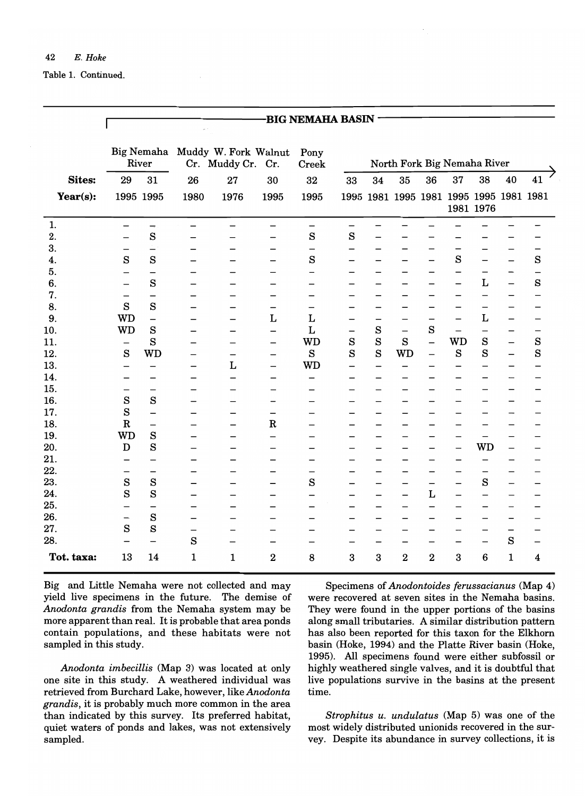Table 1. Continued.

|               |                               |                          |                               |                                                  |                          | <b>BIG NEMAHA BASIN</b>  |                          |                          |                                         |                          |                          |                          |                               |                          |
|---------------|-------------------------------|--------------------------|-------------------------------|--------------------------------------------------|--------------------------|--------------------------|--------------------------|--------------------------|-----------------------------------------|--------------------------|--------------------------|--------------------------|-------------------------------|--------------------------|
|               | River                         |                          |                               | Big Nemaha Muddy W. Fork Walnut<br>Cr. Muddy Cr. | Cr.                      | Pony<br>Creek            |                          |                          | North Fork Big Nemaha River             |                          |                          |                          |                               |                          |
| <b>Sites:</b> | 29                            | 31                       | 26                            | 27                                               | 30                       | 32                       | 33                       | 34                       | 35                                      | 36                       | 37                       | 38                       | 40                            | 41                       |
| Year $(s)$ :  | 1995 1995                     |                          | 1980                          | 1976                                             | 1995                     | 1995                     |                          |                          | 1995 1981 1995 1981 1995 1995 1981 1981 |                          |                          | 1981 1976                |                               |                          |
| 1.            | —                             | $\rightarrow$            | —                             | —                                                | —                        | $\overline{\phantom{0}}$ | $\overline{\phantom{0}}$ |                          |                                         |                          |                          |                          |                               |                          |
| 2.            |                               | $\mathbf s$              |                               |                                                  |                          | $\mathbf{s}$             | $\mathbf{s}$             |                          |                                         |                          |                          |                          |                               |                          |
| 3.            | -<br>S                        | $\qquad \qquad -$<br>S   | -                             |                                                  | —                        | $\rm s$                  | $\overline{\phantom{0}}$ |                          |                                         |                          | -<br>$\rm s$             | —                        | -<br>$\overline{\phantom{0}}$ | $\qquad \qquad -$<br>S   |
| 4.<br>5.      |                               | —                        | -                             |                                                  |                          |                          |                          |                          |                                         | —                        | -                        | $\overline{\phantom{0}}$ | $\overline{\phantom{0}}$      | $\overline{\phantom{0}}$ |
| 6.            |                               | S                        | ۰                             |                                                  |                          |                          |                          |                          |                                         |                          | -                        | L                        | $\overline{\phantom{0}}$      | S                        |
| 7.            | $\overline{\phantom{0}}$      | $\qquad \qquad$          | -                             |                                                  |                          | $\overline{\phantom{0}}$ |                          |                          |                                         |                          |                          | —                        | $\overline{\phantom{0}}$      | $\overline{\phantom{0}}$ |
| 8.            | S                             | S                        | -                             |                                                  | -                        | $\qquad \qquad -$        | -                        |                          |                                         |                          |                          | $\overline{\phantom{0}}$ |                               | $\overline{\phantom{0}}$ |
| 9.            | <b>WD</b>                     | $\qquad \qquad -$        | -                             | —                                                | Г                        | L                        | $\overline{\phantom{0}}$ | —                        |                                         |                          | —                        | L                        | -                             |                          |
| 10.           | <b>WD</b>                     | S                        |                               |                                                  | $\overline{\phantom{0}}$ | L                        | $\overline{\phantom{0}}$ | $\mathbf{s}$             | $\qquad \qquad -$                       | S                        |                          | —                        |                               | —                        |
| 11.           | —                             | S                        |                               |                                                  | $\overline{\phantom{0}}$ | <b>WD</b>                | $\mathbf S$              | S                        | $\rm s$                                 | $\overline{\phantom{0}}$ | WD                       | S                        | $\overline{\phantom{0}}$      | S                        |
| 12.           | $\mathbf{s}$                  | <b>WD</b>                |                               | —                                                | —                        | S                        | S                        | $\mathbf{s}$             | <b>WD</b>                               | —                        | S                        | S                        | $\overline{\phantom{0}}$      | S                        |
| 13.           | $\overline{\phantom{0}}$      | $\overline{\phantom{0}}$ | —                             | Г                                                | $\overline{\phantom{0}}$ | <b>WD</b>                | $\overline{\phantom{0}}$ |                          |                                         |                          |                          |                          | -                             | -                        |
| 14.           | $\overline{\phantom{0}}$      |                          | -                             | $\overline{\phantom{0}}$                         | $\overline{\phantom{0}}$ | $\overline{\phantom{0}}$ |                          |                          |                                         |                          |                          | -                        |                               | -                        |
| 15.           |                               | $\overline{\phantom{0}}$ | -                             |                                                  |                          |                          |                          |                          |                                         |                          |                          |                          |                               |                          |
| 16.           | $\mathbf S$                   | S                        | -                             |                                                  | -                        |                          |                          |                          |                                         |                          |                          |                          |                               |                          |
| 17.           | S                             | $\overline{\phantom{0}}$ |                               |                                                  | $\overline{\phantom{0}}$ |                          |                          |                          |                                         |                          |                          |                          |                               |                          |
| 18.           | $\mathbf R$                   | $\overline{\phantom{0}}$ | -                             |                                                  | $\mathbf R$              |                          | -                        |                          |                                         |                          |                          |                          |                               |                          |
| 19.           | WD                            | $\mathbf{s}$             | -                             |                                                  | $\overline{\phantom{0}}$ |                          |                          |                          |                                         |                          |                          | —                        |                               |                          |
| 20.           | $\mathbf D$                   | $\mathbf{s}$             |                               |                                                  |                          |                          |                          |                          |                                         |                          | —                        | <b>WD</b>                |                               |                          |
| 21.           |                               | $\overline{\phantom{0}}$ |                               |                                                  |                          |                          |                          |                          |                                         |                          |                          | -                        |                               |                          |
| 22.           |                               | $\overline{\phantom{0}}$ |                               |                                                  | -                        | $\overline{\phantom{0}}$ |                          | -                        |                                         |                          |                          |                          |                               |                          |
| 23.           | S<br>S                        | S                        |                               |                                                  | —                        | S                        |                          | -                        |                                         | -                        |                          | S                        |                               |                          |
| 24.<br>25.    |                               | S                        |                               |                                                  |                          |                          |                          |                          |                                         | L                        |                          | -                        |                               |                          |
| 26.           |                               | S                        | -                             |                                                  | -                        | $\overline{\phantom{0}}$ | —                        | $\overline{\phantom{0}}$ |                                         |                          |                          | -                        | -                             | -                        |
| 27.           | $\overline{\phantom{0}}$<br>S | S                        | —<br>$\overline{\phantom{0}}$ |                                                  |                          |                          | —                        | -<br>—                   |                                         |                          | $\overline{\phantom{0}}$ | $\overline{\phantom{0}}$ | $\overline{\phantom{0}}$<br>- |                          |
| 28.           |                               | $\overline{\phantom{0}}$ | $\mathbf s$                   |                                                  |                          |                          |                          |                          |                                         |                          |                          | $\overline{\phantom{0}}$ | $\rm s$                       |                          |
| Tot. taxa:    | 13                            | 14                       | 1                             | 1                                                | 2                        | 8                        | 3                        | 3                        | $\bf{2}$                                | $\bf{2}$                 | 3                        | 6                        | $\mathbf 1$                   | 4                        |

Big and Little Nemaha were not collected and may yield live specimens in the future. The demise of *Anodonta grandis* from the Nemaha system may be more apparent than real. It is probable that area ponds contain populations, and these habitats were not sampled in this study.

*Anodonta imbecillis* (Map 3) was located at only one site in this study. A weathered individual was retrieved from Burchard Lake, however, like *Anodonta grandis,* it is probably much more common in the area than indicated by this survey. Its preferred habitat, quiet waters of ponds and lakes, was not extensively sampled.

Specimens of *Anodontoides ferussacianus* (Map 4) were recovered at seven sites in the Nemaha basins. They were found in the upper portions of the basins along small tributaries. A similar distribution pattern has also been reported for this taxon for the Elkhorn basin (Hoke, 1994) and the Platte River basin (Hoke, 1995). All specimens found were either subfossil or highly weathered single valves, and it is doubtful that live populations survive in the basins at the present time.

*Strophitus u. undulatus* (Map 5) was one of the most widely distributed unionids recovered in the survey. Despite its abundance in survey collections, it is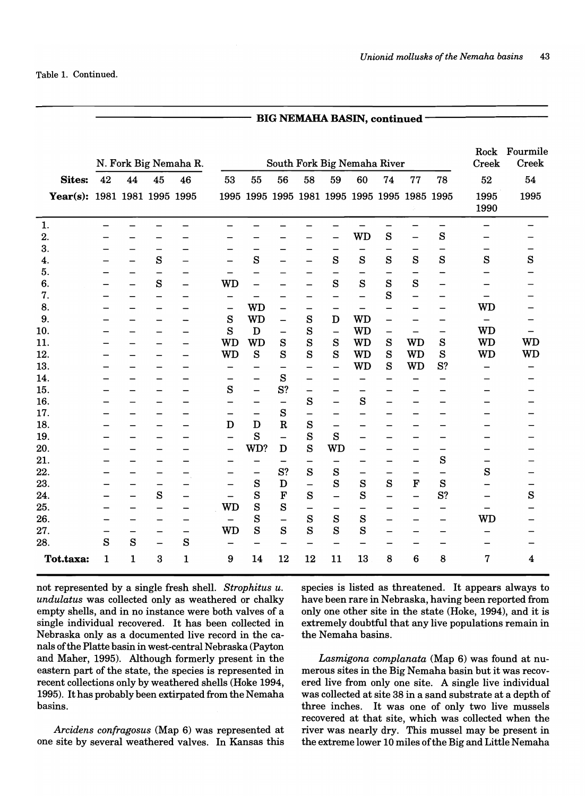|                              | South Fork Big Nemaha River<br>N. Fork Big Nemaha R. |                                                      |                                                          |                                                      |                                                  |                                                                        |                                                      |                                                      |                                                      |                                                      | Rock<br>Creek                                        | Fourmile<br><b>Creek</b>                             |                                                      |                                               |                |
|------------------------------|------------------------------------------------------|------------------------------------------------------|----------------------------------------------------------|------------------------------------------------------|--------------------------------------------------|------------------------------------------------------------------------|------------------------------------------------------|------------------------------------------------------|------------------------------------------------------|------------------------------------------------------|------------------------------------------------------|------------------------------------------------------|------------------------------------------------------|-----------------------------------------------|----------------|
| <b>Sites:</b>                | 42                                                   | 44                                                   | 45                                                       | 46                                                   | 53                                               | 55                                                                     | 56                                                   | 58                                                   | 59                                                   | 60                                                   | 74                                                   | 77                                                   | 78                                                   | 52                                            | 54             |
| Year(s): 1981 1981 1995 1995 |                                                      |                                                      |                                                          |                                                      |                                                  |                                                                        |                                                      |                                                      |                                                      |                                                      |                                                      | 1995 1995 1995 1981 1995 1995 1995 1985 1995         |                                                      | 1995<br>1990                                  | 1995           |
| 1.<br>2.                     | $\qquad \qquad \blacksquare$                         | —<br>-                                               | -<br>-                                                   |                                                      | —                                                | —<br>-                                                                 | -                                                    |                                                      | $\overline{\phantom{0}}$<br>$\overline{\phantom{0}}$ | <b>WD</b>                                            | —<br>S                                               | —                                                    | —<br>S                                               | $\overline{\phantom{0}}$<br>—                 | —              |
| 3.<br>4.                     |                                                      | $\qquad \qquad$<br>$\qquad \qquad \qquad$            | -<br>${\bf S}$                                           |                                                      | $\qquad \qquad$<br>$\qquad \qquad \qquad$        | $\overline{\phantom{m}}$<br>S                                          | -<br>—                                               | -                                                    | $\overline{\phantom{m}}$<br>S                        | —<br>S                                               | S                                                    | S                                                    | -<br>S                                               | S                                             | -<br>S         |
| 5.<br>6.                     | -                                                    | $\qquad \qquad$<br>$\qquad \qquad$                   | $\overline{\phantom{0}}$<br>S                            |                                                      | $\overline{\phantom{0}}$<br><b>WD</b>            | $\overline{\phantom{0}}$<br>$\qquad \qquad$                            | —<br>—                                               | $\overline{\phantom{0}}$<br>$\overline{\phantom{0}}$ | $\qquad \qquad$<br>S                                 | —<br>S                                               | —<br>S                                               | S                                                    | $\overline{\phantom{a}}$<br>$\overline{\phantom{0}}$ |                                               |                |
| 7.<br>8.                     |                                                      | $\overline{\phantom{0}}$                             | —<br>$\overline{\phantom{0}}$                            | $\overline{\phantom{0}}$                             | —<br>$\qquad \qquad -$                           | $\overline{\phantom{0}}$<br><b>WD</b>                                  | -<br>—                                               | —                                                    | —<br>$\overline{\phantom{0}}$                        | $\overline{\phantom{0}}$<br>$\overline{\phantom{0}}$ | S<br>$\overline{\phantom{0}}$                        | $\overline{\phantom{0}}$<br>$\overline{\phantom{a}}$ | $\qquad \qquad$<br>$\overline{\phantom{0}}$          | $\qquad \qquad -$<br><b>WD</b>                |                |
| 9.<br>10.                    |                                                      |                                                      | —<br>—                                                   | $\overline{\phantom{a}}$<br>$\overline{\phantom{0}}$ | S<br>S<br><b>WD</b>                              | <b>WD</b><br>D                                                         | $\overline{\phantom{0}}$<br>$\overline{\phantom{0}}$ | S<br>S                                               | D<br>$\overline{\phantom{0}}$                        | <b>WD</b><br><b>WD</b>                               | $\overline{\phantom{0}}$<br>$\overline{\phantom{0}}$ | $\overline{\phantom{0}}$<br><b>WD</b>                | $\overline{\phantom{0}}$<br>-<br>S                   | <b>WD</b><br><b>WD</b>                        | —<br><b>WD</b> |
| 11.<br>12.<br>13.            |                                                      | $\overline{\phantom{0}}$                             | -<br>-                                                   | $\overline{\phantom{0}}$<br>$\qquad \qquad \qquad$   | <b>WD</b>                                        | <b>WD</b><br>S                                                         | $\mathbf S$<br>S                                     | S<br>S                                               | S<br>S                                               | <b>WD</b><br><b>WD</b><br><b>WD</b>                  | S<br>S<br>S                                          | <b>WD</b><br><b>WD</b>                               | S<br>S?                                              | WD                                            | <b>WD</b>      |
| 14.<br>15.                   |                                                      | -<br>$\overline{\phantom{0}}$                        | -<br>—<br>—                                              | $\qquad \qquad$<br>$\equiv$<br>$\qquad \qquad$       | —<br>$\overline{\phantom{0}}$<br>S               | $\overline{\phantom{0}}$<br>$\overline{\phantom{0}}$<br>$\overline{a}$ | -<br>S<br>S?                                         | —<br>$\overline{\phantom{0}}$<br>$\qquad \qquad -$   | $\overline{\phantom{0}}$<br>$\overline{\phantom{0}}$ | $\overline{\phantom{0}}$<br>$\qquad \qquad -$        | $\overline{\phantom{0}}$                             | $\overline{\phantom{0}}$                             | —                                                    | -                                             |                |
| 16.<br>17.                   |                                                      |                                                      | —<br>—                                                   |                                                      | $\qquad \qquad \qquad$<br>$\qquad \qquad \qquad$ |                                                                        | $\overline{\phantom{0}}$<br>${\bf S}$                | S<br>$\qquad \qquad \blacksquare$                    | $\equiv$                                             | S<br>—                                               | $\qquad \qquad -$<br>$\qquad \qquad \qquad$          | $\overline{\phantom{0}}$                             | —<br>—                                               |                                               |                |
| 18.<br>19.                   |                                                      |                                                      | $\overline{\phantom{0}}$<br>$\overline{\phantom{0}}$     | $\overline{\phantom{0}}$                             | D<br>$\qquad \qquad$                             | D<br>S                                                                 | $\mathbf R$<br>$\overline{\phantom{0}}$              | S<br>S                                               | $\overline{\phantom{0}}$<br>S                        |                                                      |                                                      | $\overline{\phantom{0}}$<br>$\overline{\phantom{0}}$ | —<br>—                                               |                                               |                |
| 20.<br>21.                   |                                                      | $\overline{\phantom{0}}$<br>$\overline{\phantom{0}}$ | —<br>—                                                   | —                                                    | $\qquad \qquad -$<br>$\qquad \qquad$             | WD?                                                                    | D<br>$\overline{\phantom{0}}$                        | S                                                    | WD                                                   | $\overline{\phantom{0}}$<br>—                        | $\qquad \qquad -$<br>$\qquad \qquad -$               | $\overline{\phantom{m}}$                             | S                                                    | $\overline{\phantom{0}}$                      |                |
| 22.<br>23.                   |                                                      | —<br>-                                               | —<br>$\qquad \qquad \qquad$                              | $\qquad \qquad$                                      | $\qquad \qquad \qquad$                           | $\overline{\phantom{0}}$<br>S                                          | S?<br>D                                              | S<br>$\overline{\phantom{0}}$                        | S<br>S                                               | $\qquad \qquad \longleftarrow$<br>${\bf S}$          | $\qquad \qquad \blacksquare$<br>${\bf S}$            | $\bf F$                                              | $\overline{\phantom{0}}$<br>S                        | ${\bf S}$                                     | —              |
| 24.<br>25.                   | $\overline{\phantom{0}}$                             | $\overline{\phantom{m}}$<br>$\qquad \qquad$          | ${\bf S}$<br>$\qquad \qquad -$                           | —<br>$\overline{\phantom{m}}$                        | $\qquad \qquad$<br><b>WD</b>                     | S<br>S                                                                 | $\mathbf F$<br>S                                     | S<br>$\overline{\phantom{0}}$                        | $\overline{\phantom{0}}$<br>$\overline{\phantom{0}}$ | S<br>—                                               | $\overline{\phantom{0}}$<br>-                        | $\overline{\phantom{0}}$<br>$\overline{\phantom{0}}$ | S?<br>$\qquad \qquad -$                              | $\qquad \qquad -$<br>$\overline{\phantom{0}}$ | ${\bf S}$      |
| 26.<br>27.                   | $\overline{\phantom{a}}$                             | $\overline{\phantom{0}}$<br>$\qquad \qquad \qquad$   | $\overline{\phantom{m}}$<br>$\qquad \qquad \blacksquare$ | $\overline{\phantom{m}}$<br>$\qquad \qquad -$        | <b>WD</b>                                        | S<br>S                                                                 | $\qquad \qquad -$<br>${\bf S}$                       | S<br>S                                               | S<br>S                                               | ${\bf S}$<br>S                                       | —<br>—                                               | $\overline{\phantom{m}}$<br>$\qquad \qquad \qquad$   | $\overline{\phantom{m}}$<br>$\qquad \qquad \qquad$   | <b>WD</b>                                     |                |
| 28.<br>Tot.taxa:             | S<br>1                                               | ${\bf S}$<br>1                                       | $\overline{\phantom{0}}$<br>3                            | S<br>$\mathbf{1}$                                    | $\qquad \qquad$<br>9                             | —<br>14                                                                | $\overline{\phantom{0}}$<br>12                       | $\overline{\phantom{0}}$<br>12                       | $\qquad \qquad -$<br>11                              | —<br>13                                              | —<br>8                                               | 6                                                    | —<br>8                                               | -<br>7                                        | 4              |

BIG NEMAHA BASIN, continued -

not represented by a single fresh shell. *Strophitus u. undulatus* was collected only as weathered or chalky empty shells, and in no instance were both valves of a single individual recovered. It has been collected in Nebraska only as a documented live record in the canals of the Platte basin in west-central Nebraska (Payton and Maher, 1995). Although formerly present in the eastern part of the state, the species is represented in recent collections only by weathered shells (Hoke 1994, 1995). It has probably been extirpated from the Nemaha basins.

*Arcidens confragosus* (Map 6) was represented at one site by several weathered valves. In Kansas this species is listed as threatened. It appears always to have been rare in Nebraska, having been reported from only one other site in the state (Hoke, 1994), and it is extremely doubtful that any live populations remain in the Nemaha basins.

*Lasmigona complanata* (Map 6) was found at numerous sites in the Big Nemaha basin but it was recovered live from only one site. A single live individual was collected at site 38 in a sand substrate at a depth of three inches. It was one of only two live mussels recovered at that site, which was collected when the river was nearly dry. This mussel may be present in the extreme lower 10 miles of the Big and Little Nemaha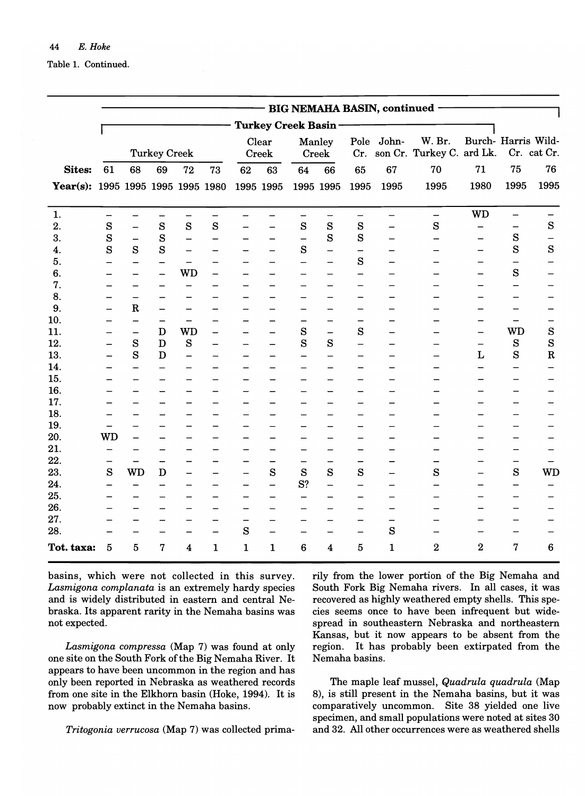Table 1. Continued.

|                                   |             |                          |                          |                          |                          |                          |                            |                          |                          |                          | - BIG NEMAHA BASIN, continued - |                                     |                     |                          |                          |
|-----------------------------------|-------------|--------------------------|--------------------------|--------------------------|--------------------------|--------------------------|----------------------------|--------------------------|--------------------------|--------------------------|---------------------------------|-------------------------------------|---------------------|--------------------------|--------------------------|
|                                   |             |                          |                          |                          |                          |                          |                            |                          |                          |                          |                                 |                                     |                     |                          |                          |
|                                   |             |                          |                          |                          |                          |                          | <b>Turkey Creek Basin-</b> |                          |                          |                          |                                 |                                     |                     |                          |                          |
|                                   |             |                          | <b>Turkey Creek</b>      |                          |                          |                          | Clear<br>Creek             |                          | Manley<br>Creek          | Cr.                      | Pole John-                      | W. Br.<br>son Cr. Turkey C. ard Lk. | Burch- Harris Wild- |                          | Cr. cat Cr.              |
| <b>Sites:</b>                     | 61          | 68                       | 69                       | 72                       | 73                       | 62                       | 63                         | 64                       | 66                       | 65                       | 67                              | 70                                  | 71                  | 75                       | 76                       |
| Year(s): 1995 1995 1995 1995 1980 |             |                          |                          |                          |                          |                          | 1995 1995                  |                          | 1995 1995                | 1995                     | 1995                            | 1995                                | 1980                | 1995                     | 1995                     |
| 1.                                |             | $\overline{\phantom{0}}$ | $\overline{\phantom{0}}$ | $\overline{\phantom{0}}$ | —                        | -                        |                            | $\qquad \qquad -$        | $\overline{\phantom{0}}$ | $\equiv$                 | $\overline{\phantom{0}}$        | $\overline{\phantom{0}}$            | <b>WD</b>           | $\overline{\phantom{0}}$ |                          |
| 2.                                | $\mathbf S$ | $\overline{\phantom{0}}$ | $\mathbf S$              | S                        | S                        |                          |                            | ${\bf S}$                | S                        | S                        | -                               | S                                   |                     | $\qquad \qquad -$        | ${\bf S}$                |
| 3.                                | S           | $\qquad \qquad -$        | S                        | $\overline{\phantom{0}}$ | $\overline{\phantom{0}}$ |                          | $\overline{\phantom{0}}$   | $\overline{\phantom{0}}$ | S                        | S                        |                                 |                                     |                     | S                        | $\overline{\phantom{0}}$ |
| 4.                                | S           | S                        | S                        | $\qquad \qquad -$        | $\overline{\phantom{0}}$ |                          |                            | S                        | $\equiv$                 | $\overline{\phantom{0}}$ |                                 |                                     |                     | S                        | S                        |
| 5.                                |             |                          |                          | -                        |                          |                          |                            |                          |                          | S                        |                                 |                                     |                     | $\overline{\phantom{0}}$ |                          |
| 6.                                |             | —                        |                          | <b>WD</b>                | $\overline{\phantom{0}}$ |                          |                            |                          |                          | -                        |                                 |                                     |                     | S                        |                          |
| 7.                                |             |                          |                          | $\overline{\phantom{0}}$ | -                        |                          |                            |                          |                          | $\overline{\phantom{0}}$ |                                 |                                     |                     | $\overline{\phantom{0}}$ |                          |
| 8.                                |             | $\overline{\phantom{0}}$ |                          |                          |                          |                          |                            |                          |                          | $\overline{\phantom{a}}$ |                                 |                                     |                     | $\overline{\phantom{0}}$ |                          |
| 9.                                |             | $\mathbf R$              |                          |                          |                          |                          |                            |                          |                          | $\overline{\phantom{0}}$ |                                 |                                     |                     |                          |                          |
| 10.                               |             | $\overline{\phantom{0}}$ | —                        | $\qquad \qquad -$        |                          |                          |                            |                          |                          | $\overline{\phantom{0}}$ |                                 |                                     |                     | $\overline{\phantom{0}}$ | <u>.</u>                 |
| 11.                               |             | $\qquad \qquad -$        | D                        | <b>WD</b>                | $\overline{\phantom{0}}$ |                          |                            | ${\bf S}$                | $\overline{\phantom{0}}$ | S                        |                                 |                                     |                     | <b>WD</b>                | S                        |
| 12.                               |             | S                        | $\mathbf D$              | S                        | $\overline{\phantom{0}}$ |                          | $\equiv$                   | S                        | S                        | $\overline{\phantom{0}}$ |                                 |                                     | $\qquad \qquad -$   | S                        | S                        |
| 13.                               |             | S                        | D                        | $\qquad \qquad -$        |                          |                          |                            |                          |                          |                          |                                 |                                     | L                   | S                        | $\mathbf R$              |
| 14.                               |             | $\overline{\phantom{0}}$ |                          |                          |                          |                          |                            |                          |                          |                          |                                 |                                     |                     | $\equiv$                 |                          |
| 15.                               |             |                          |                          |                          |                          |                          |                            |                          |                          |                          |                                 |                                     |                     | $\overline{\phantom{0}}$ |                          |
| 16.                               |             |                          |                          |                          |                          |                          |                            |                          |                          |                          |                                 |                                     |                     |                          |                          |
| 17.                               |             |                          |                          |                          |                          |                          |                            |                          |                          |                          |                                 |                                     |                     | $\equiv$                 |                          |
| 18.                               |             |                          |                          |                          |                          |                          |                            |                          |                          |                          |                                 |                                     |                     |                          |                          |
| 19.                               |             |                          |                          |                          |                          |                          |                            |                          |                          |                          |                                 |                                     |                     | $\overline{\phantom{0}}$ |                          |
| 20.                               | <b>WD</b>   |                          |                          |                          |                          |                          |                            |                          |                          | $\overline{\phantom{0}}$ |                                 |                                     |                     | $\overline{\phantom{0}}$ |                          |
| 21.                               |             |                          |                          |                          |                          |                          |                            |                          |                          |                          |                                 |                                     |                     | —                        |                          |
| 22.                               |             |                          |                          |                          |                          |                          |                            |                          |                          | —                        |                                 |                                     |                     | $\overline{\phantom{0}}$ |                          |
| 23.                               | S           | <b>WD</b>                | D                        |                          | $\overline{\phantom{0}}$ | $\overline{\phantom{0}}$ | S                          | S                        | S                        | S                        |                                 | S                                   |                     | S                        | WD                       |
| 24.                               |             |                          |                          |                          |                          |                          | $\overline{\phantom{0}}$   | S?                       | $\overline{\phantom{0}}$ | $\overline{\phantom{0}}$ |                                 |                                     |                     | $\overline{\phantom{0}}$ |                          |
| 25.                               |             |                          |                          |                          | —                        |                          | $\equiv$                   |                          |                          | $\overline{\phantom{0}}$ |                                 |                                     |                     |                          |                          |
| 26.                               |             |                          |                          |                          | —                        | $\overline{\phantom{0}}$ |                            |                          |                          |                          |                                 |                                     |                     |                          |                          |
| 27.                               |             |                          |                          |                          | -                        | -                        |                            |                          |                          |                          |                                 |                                     |                     |                          |                          |
| 28.                               |             |                          | $\overline{\phantom{0}}$ |                          | $\equiv$                 | S                        | $\overline{\phantom{0}}$   |                          |                          | $\overline{\phantom{0}}$ | S                               |                                     |                     |                          |                          |
| Tot. taxa:                        | 5           | 5                        | 7                        | $\overline{\mathbf{4}}$  | 1                        | $\mathbf{1}$             | $\mathbf{1}$               | $6\phantom{1}6$          | 4                        | 5                        | $\mathbf{1}$                    | $\mathbf 2$                         | $\overline{2}$      | 7                        | $6\phantom{1}6$          |

basins, which were not collected in this survey. *Lasmigona complanata* is an extremely hardy species and is widely distributed in eastern and central Nebraska. Its apparent rarity in the Nemaha basins was not expected.

*Lasmigona compressa* (Map 7) was found at only one site on the 80uth Fork of the Big Nemaha River. It appears to have been uncommon in the region and has only been reported in Nebraska as weathered records from one site in the Elkhorn basin (Hoke, 1994). It is now probably extinct in the Nemaha basins.

*Tritogonia verrucosa* (Map 7) was collected prima-

rily from the lower portion of the Big Nemaha and South Fork Big Nemaha rivers. In all cases, it was recovered as highly weathered empty shells. This species seems once to have been infrequent but widespread in southeastern Nebraska and northeastern Kansas, but it now appears to be absent from the region. It has probably been extirpated from the Nemaha basins.

The maple leaf mussel, *Quadrula quadrula* (Map 8), is still present in the Nemaha basins, but it was comparatively uncommon. 8ite 38 yielded one live specimen, and small populations were noted at sites 30 and 32. All other occurrences were as weathered shells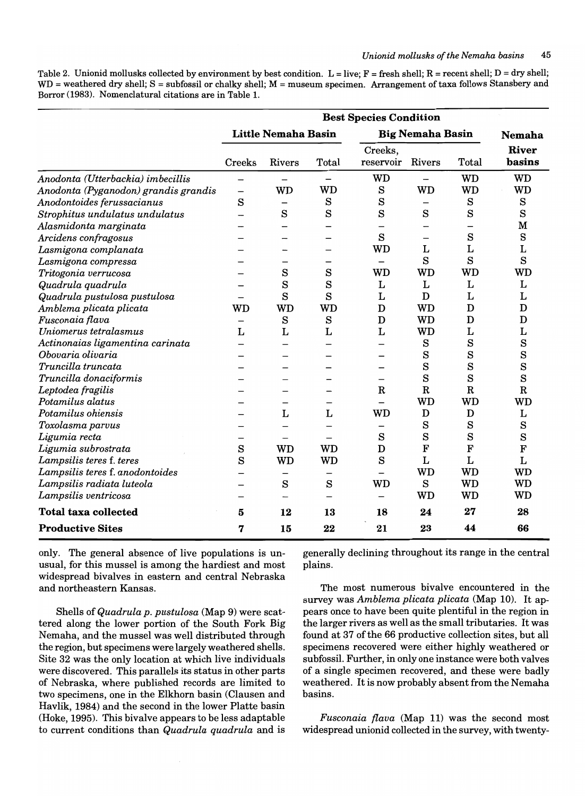Table 2. Unionid mollusks collected by environment by best condition. L = live; F = fresh shell; R = recent shell; D = dry shell; WD = weathered dry shell; S = subfossil or chalky shell; M = museum specimen. Arrangement of taxa follows Stansbery and Borror (1983). Nomenclatural citations are in Table l.

|                                      |        | <b>Little Nemaha Basin</b> |           |                          | <b>Big Nemaha Basin</b> |                       | <b>Nemaha</b>   |
|--------------------------------------|--------|----------------------------|-----------|--------------------------|-------------------------|-----------------------|-----------------|
|                                      | Creeks | Rivers                     | Total     | Creeks,<br>reservoir     | <b>Rivers</b>           | Total                 | River<br>basins |
| Anodonta (Utterbackia) imbecillis    | -      | —                          | —         | <b>WD</b>                |                         | <b>WD</b>             | <b>WD</b>       |
| Anodonta (Pyganodon) grandis grandis | -      | <b>WD</b>                  | <b>WD</b> | $\rm s$                  | <b>WD</b>               | <b>WD</b>             | <b>WD</b>       |
| Anodontoides ferussacianus           | S      | $\overline{\phantom{0}}$   | $\rm s$   | S                        |                         | S                     | S               |
| Strophitus undulatus undulatus       |        | S                          | S         | S                        | S                       | S                     | S               |
| Alasmidonta marginata                |        |                            |           |                          |                         |                       | M               |
| Arcidens confragosus                 |        |                            |           | S                        |                         | $\rm s$               | $\rm s$         |
| Lasmigona complanata                 |        |                            |           | WD                       | Г                       | Г                     | L               |
| Lasmigona compressa                  |        |                            |           | $\overline{\phantom{0}}$ | S                       | S                     | S               |
| Tritogonia verrucosa                 |        | S                          | S         | WD                       | <b>WD</b>               | <b>WD</b>             | WD              |
| Quadrula quadrula                    |        | S                          | S         | Г                        | L                       | L                     | L               |
| Quadrula pustulosa pustulosa         |        | S                          | S         | L                        | D                       | L                     | L               |
| Amblema plicata plicata              | WD     | <b>WD</b>                  | <b>WD</b> | $\mathbf D$              | <b>WD</b>               | D                     | D               |
| Fusconaia flava                      |        | S                          | S         | D                        | <b>WD</b>               | D                     | D               |
| Uniomerus tetralasmus                | L      | L                          | L         | L                        | <b>WD</b>               | L                     | L               |
| Actinonaias ligamentina carinata     |        |                            |           |                          | S                       | S                     | S               |
| Obovaria olivaria                    |        |                            |           |                          | S                       | $\mathbf s$           | S               |
| Truncilla truncata                   |        |                            |           |                          | S                       | S                     | S               |
| Truncilla donaciformis               |        |                            |           |                          | $\mathbf S$             | $\mathbf S$           | $\mathbf S$     |
| Leptodea fragilis                    |        |                            |           | $\mathbf R$              | $\mathbf R$             | $\overline{\text{R}}$ | $\mathbf R$     |
| Potamilus alatus                     |        |                            |           |                          | <b>WD</b>               | <b>WD</b>             | WD              |
| Potamilus ohiensis                   |        | L                          | L         | WD                       | D                       | D                     | L               |
| Toxolasma parvus                     |        |                            |           |                          | S                       | S                     | S               |
| Ligumia recta                        |        |                            |           | S                        | S                       | S                     | S               |
| Ligumia subrostrata                  | S      | <b>WD</b>                  | <b>WD</b> | D                        | F                       | F                     | F               |
| Lampsilis teres f. teres             | S      | <b>WD</b>                  | <b>WD</b> | S                        | L                       | L                     | L               |
| Lampsilis teres f. anodontoides      |        |                            |           |                          | <b>WD</b>               | <b>WD</b>             | <b>WD</b>       |
| Lampsilis radiata luteola            |        | S                          | S         | <b>WD</b>                | S                       | <b>WD</b>             | <b>WD</b>       |
| Lampsilis ventricosa                 |        |                            |           |                          | <b>WD</b>               | <b>WD</b>             | <b>WD</b>       |
| <b>Total taxa collected</b>          | 5      | 12                         | 13        | 18                       | 24                      | 27                    | 28              |
| <b>Productive Sites</b>              | 7      | 15                         | 22        | 21                       | 23                      | 44                    | 66              |

only. The general absence of live populations is unusual, for this mussel is among the hardiest and most widespread bivalves in eastern and central Nebraska and northeastern Kansas.

Shells of *Quadrula p. pustulosa* (Map 9) were scattered along the lower portion of the South Fork Big Nemaha, and the mussel was well distributed through the region, but specimens were largely weathered shells. Site 32 was the only location at which live individuals were discovered. This parallels its status in other parts of Nebraska, where published records are limited to two specimens, one in the Elkhorn basin (Clausen and Havlik, 1984) and the second in the lower Platte basin (Hoke, 1995). This bivalve appears to be less adaptable to current conditions than *Quadrula quadrula* and is

generally declining throughout its range in the central plains.

The most numerous bivalve encountered in the survey was *Amblema plicata plicata* (Map 10). It appears once to have been quite plentiful in the region in the larger rivers as well as the small tributaries. It was found at 37 of the 66 productive collection sites, but all specimens recovered were either highly weathered or subfossil. Further, in only one instance were both valves of a single specimen recovered, and these were badly weathered. It is now probably absent from the Nemaha basins.

*Fusconaia /lava* (Map 11) was the second most widespread unionid collected in the survey, with twenty-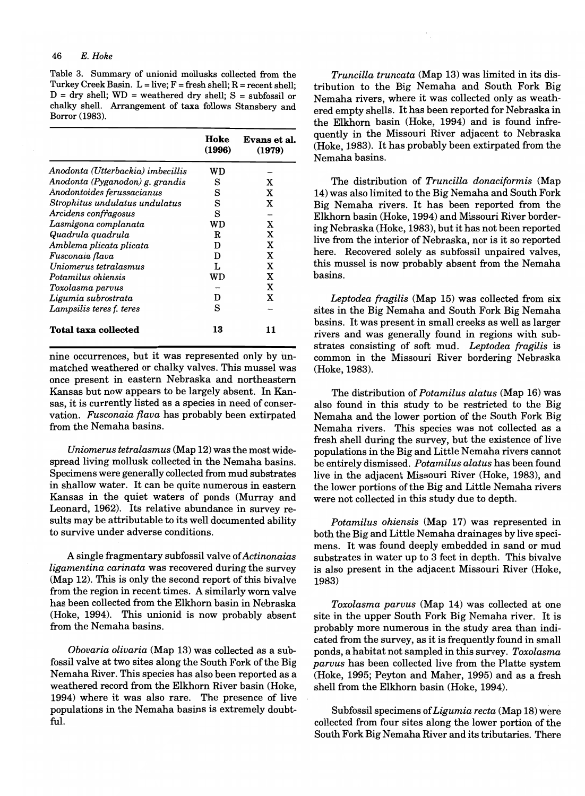Table 3. Summary of unionid mollusks collected from the Turkey Creek Basin.  $L = live$ ;  $F = fresh$  shell;  $R = recent$  shell;  $D =$  dry shell;  $WD =$  weathered dry shell;  $S =$  subfossil or chalky shell. Arrangement of taxa follows Stansbery and Borror (1983).

|                                   | Hoke<br>(1996) | Evans et al.<br>(1979) |
|-----------------------------------|----------------|------------------------|
| Anodonta (Utterbackia) imbecillis | WD             |                        |
| Anodonta (Pyganodon) g. grandis   | s              | X                      |
| Anodontoides ferussacianus        | S              | X                      |
| Strophitus undulatus undulatus    | S              | X                      |
| Arcidens confragosus              | s              |                        |
| Lasmigona complanata              | WD             | X                      |
| Quadrula quadrula                 | R              | X                      |
| Amblema plicata plicata           | D              | X                      |
| Fusconaia flava                   | D              | X                      |
| Uniomerus tetralasmus             | L              | X                      |
| Potamilus ohiensis                | WD             | x                      |
| Toxolasma parvus                  |                | X                      |
| Ligumia subrostrata               | D              | X                      |
| Lampsilis teres f. teres          | s              |                        |
| <b>Total taxa collected</b>       | 13             | 11                     |

nine occurrences, but it was represented only by unmatched weathered or chalky valves. This mussel was once present in eastern Nebraska and northeastern Kansas but now appears to be largely absent. In Kansas, it is currently listed as a species in need of conservation. Fusconaia flava has probably been extirpated from the Nemaha basins.

*Uniomerus tetralasmus* (Map 12) was the most widespread living mollusk collected in the Nemaha basins. Specimens were generally collected from mud substrates in shallow water. It can be quite numerous in eastern Kansas in the quiet waters of ponds (Murray and Leonard, 1962). Its relative abundance in survey results may be attributable to its well documented ability to survive under adverse conditions.

A single fragmentary subfossil valve of *Actinonaias ligamentina carinata* was recovered during the survey (Map 12). This is only the second report of this bivalve from the region in recent times. A similarly worn valve has been collected from the Elkhorn basin in Nebraska (Hoke, 1994). This unionid is now probably absent from the Nemaha basins.

*Obovaria olivaria* (Map 13) was collected as a subfossil valve at two sites along the South Fork of the Big Nemaha River. This species has also been reported as a weathered record from the Elkhorn River basin (Hoke, 1994) where it was also rare. The presence of live populations in the Nemaha basins is extremely doubtful.

*Truncilla truncata* (Map 13) was limited in its distribution to the Big Nemaha and South Fork Big Nemaha rivers, where it was collected only as weathered empty shells. It has been reported for Nebraska in the Elkhorn basin (Hoke, 1994) and is found infrequently in the Missouri River adjacent to Nebraska (Hoke, 1983). It has probably been extirpated from the Nemaha basins.

The distribution of *Truncilla donaciformis* (Map 14) was also limited to the Big Nemaha and South Fork Big Nemaha rivers. It has been reported from the Elkhorn basin (Hoke, 1994) and Missouri River bordering Nebraska (Hoke, 1983), but it has not been reported live from the interior of Nebraska, nor is it so reported here. Recovered solely as subfossil unpaired valves, this mussel is now probably absent from the Nemaha basins.

*Leptodea fragilis* (Map 15) was collected from six sites in the Big Nemaha and South Fork Big Nemaha basins. It was present in small creeks as well as larger rivers and was generally found in regions with substrates consisting of soft mud. *Leptodea fragilis* is common in the Missouri River bordering Nebraska (Hoke, 1983).

The distribution of *Potamilus alatus* (Map 16) was also found in this study to be restricted to the Big Nemaha and the lower portion of the South Fork Big Nemaha rivers. This species was not collected as a fresh shell during the survey, but the existence of live populations in the Big and Little Nemaha rivers cannot be entirely dismissed. *Potamilus alatus* has been found live in the adjacent Missouri River (Hoke, 1983), and the lower portions of the Big and Little Nemaha rivers were not collected in this study due to depth.

*Potamilus ohiensis* (Map 17) was represented in both the Big and Little Nemaha drainages by live specimens. It was found deeply embedded in sand or mud substrates in water up to 3 feet in depth. This bivalve is also present in the adjacent Missouri River (Hoke, 1983)

*Toxolasma parvus* (Map 14) was collected at one site in the upper South Fork Big Nemaha river. It is probably more numerous in the study area than indicated from the survey, as it is frequently found in small ponds, a habitat not sampled in this survey. *Toxolasma parvus* has been collected live from the Platte system (Hoke, 1995; Peyton and Maher, 1995) and as a fresh shell from the Elkhorn basin (Hoke, 1994).

Subfossil specimens of *Ligumia recta* (Map 18) were collected from four sites along the lower portion of the South Fork Big Nemaha River and its tributaries. There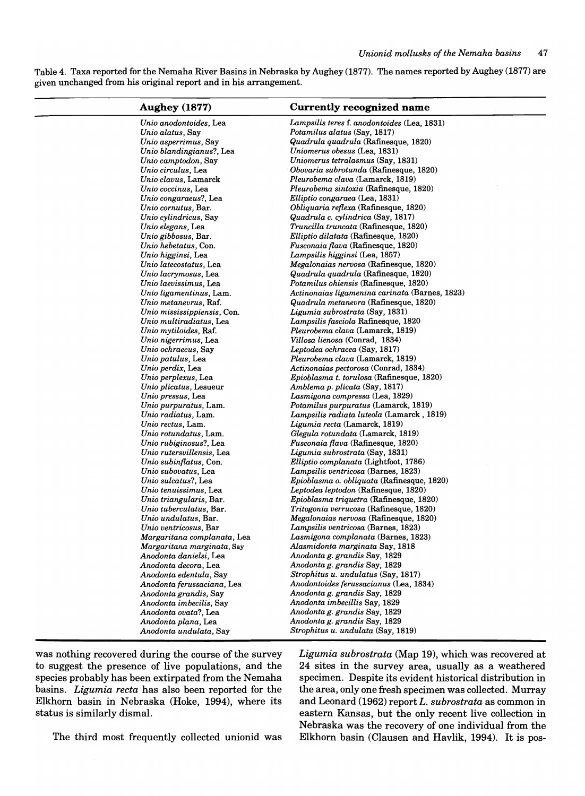Table 4. Taxa reported for the Nemaha River Basins in Nebraska by Aughey (1877). The names reported by Aughey (1877) are given unchanged from his original report and in his arrangement.

| <b>Aughey</b> (1877)                             | Currently recognized name                                                      |
|--------------------------------------------------|--------------------------------------------------------------------------------|
| Unio anodontoides, Lea                           | Lampsilis teres f. anodontoides (Lea, 1831)                                    |
| Unio alatus, Say                                 | Potamilus alatus (Say, 1817)                                                   |
| Unio asperrimus, Say                             | Quadrula quadrula (Rafinesque, 1820)                                           |
| Unio blandingianus?, Lea                         | Uniomerus obesus (Lea, 1831)                                                   |
| Unio camptodon, Say                              | Uniomerus tetralasmus (Say, 1831)                                              |
| Unio circulus, Lea                               | Obovaria subrotunda (Rafinesque, 1820)                                         |
| Unio clavus, Lamarck                             | Pleurobema clava (Lamarck, 1819)                                               |
| Unio coccinus, Lea                               | Pleurobema sintoxia (Rafinesque, 1820)                                         |
| Unio congaraeus?, Lea                            | Elliptio congaraea (Lea, 1831)                                                 |
| Unio cornutus. Bar.                              | <i>Obliquaria reflexa</i> (Rafinesque, 1820)                                   |
| Unio cylindricus, Say                            | Quadrula c. cylindrica (Say, 1817)                                             |
| Unio elegans, Lea                                | Truncilla truncata (Rafinesque, 1820)                                          |
| Unio gibbosus, Bar.                              | Elliptio dilatata (Rafinesque, 1820)                                           |
| Unio hebetatus, Con.                             | <i>Fusconaia flava</i> (Rafinesque, 1820)                                      |
| Unio higginsi, Lea                               | Lampsilis higginsi (Lea, 1857)                                                 |
| Unio latecostatus, Lea                           | Megalonaias nervosa (Rafinesque, 1820)<br>Quadrula quadrula (Rafinesque, 1820) |
| Unio lacrymosus, Lea<br>Unio laevissimus, Lea    | Potamilus ohiensis (Rafinesque, 1820)                                          |
|                                                  | Actinonaias ligamenina carinata (Barnes, 1823)                                 |
| Unio ligamentinus, Lam.<br>Unio metanevrus, Raf. | <i>Quadrula metanevra</i> (Rafinesque, 1820)                                   |
| Unio mississippiensis, Con.                      | Ligumia subrostrata (Say, 1831)                                                |
| Unio multiradiatus, Lea                          | Lampsilis fasciola Rafinesque, 1820                                            |
| Unio mytiloides, Raf.                            | Pleurobema clava (Lamarck, 1819)                                               |
| Unio nigerrimus, Lea                             | Villosa lienosa (Conrad, 1834)                                                 |
| Unio ochraecus, Say                              | Leptodea ochracea (Say, 1817)                                                  |
| Unio patulus, Lea                                | Pleurobema clava (Lamarck, 1819)                                               |
| Unio perdix, Lea                                 | Actinonaias pectorosa (Conrad, 1834)                                           |
| Unio perplexus, Lea                              | Epioblasma t. torulosa (Rafinesque, 1820)                                      |
| Unio plicatus, Lesueur                           | Amblema p. plicata (Say, 1817)                                                 |
| Unio pressus, Lea                                | Lasmigona compressa (Lea, 1829)                                                |
| Unio purpuratus, Lam.                            | Potamilus purpuratus (Lamarck, 1819)                                           |
| Unio radiatus, Lam.                              | Lampsilis radiata luteola (Lamarck, 1819)                                      |
| Unio rectus, Lam.                                | Ligumia recta (Lamarck, 1819)                                                  |
| Unio rotundatus, Lam.                            | Glegula rotundata (Lamarck, 1819)                                              |
| Unio rubiginosus?, Lea                           | <i>Fusconaia flava</i> (Rafinesque, 1820)                                      |
| Unio rutersvillensis, Lea                        | Ligumia subrostrata (Say, 1831)                                                |
| Unio subinflatus, Con.                           | Elliptio complanata (Lightfoot, 1786)                                          |
| Unio subovatus, Lea                              | Lampsilis ventricosa (Barnes, 1823)                                            |
| Unio sulcatus?, Lea                              | Epioblasma o. obliquata (Rafinesque, 1820)                                     |
| Unio tenuissimus, Lea                            | Leptodea leptodon (Rafinesque, 1820)                                           |
| Unio triangularis, Bar.                          | Epioblasma triquetra (Rafinesque, 1820)                                        |
| Unio tuberculatus, Bar.                          | <i>Tritogonia verrucosa</i> (Rafinesque, 1820)                                 |
| Unio undulatus, Bar.                             | Megalonaias nervosa (Rafinesque, 1820)                                         |
| Unio ventricosus, Bar                            | Lampsilis ventricosa (Barnes, 1823)                                            |
| Margaritana complanata, Lea                      | Lasmigona complanata (Barnes, 1823)                                            |
| Margaritana marginata, Say                       | Alasmidonta marginata Say, 1818                                                |
| Anodonta danielsi, Lea                           | Anodonta g. grandis Say, 1829                                                  |
| Anodonta decora. Lea                             | Anodonta g. grandis Say, 1829                                                  |
| Anodonta edentula, Say                           | Strophitus u. undulatus (Say, 1817)                                            |
| Anodonta ferussaciana, Lea                       | Anodontoides ferussacianus (Lea, 1834)                                         |
| Anodonta grandis, Say                            | Anodonta g. grandis Say, 1829                                                  |
| Anodonta imbecilis, Say                          | Anodonta imbecillis Say, 1829<br>Anodonta g. grandis Say, 1829                 |
| Anodonta ovata?, Lea                             | Anodonta g. grandis Say, 1829                                                  |
| Anodonta plana, Lea                              | Strophitus u. undulata (Say, 1819)                                             |
| Anodonta undulata, Say                           |                                                                                |

was nothing recovered during the course of the survey to suggest the presence of live populations, and the species probably has been extirpated from the Nemaha basins. *Ligumia recta* has also been reported for the Elkhorn basin in Nebraska (Hoke, 1994), where its status is similarly dismal.

L,

The third most frequently collected unionid was

*Ligumia subrostrata* (Map 19), which was recovered at 24 sites in the survey area, usually as a weathered specimen. Despite its evident historical distribution in the area, only one fresh specimen was collected. Murray and Leonard (1962) report *L. subrostrata* as common in eastern Kansas, but the only recent live collection in Nebraska was the recovery of one individual from the Elkhorn basin (Clausen and Havlik, 1994). It is pos-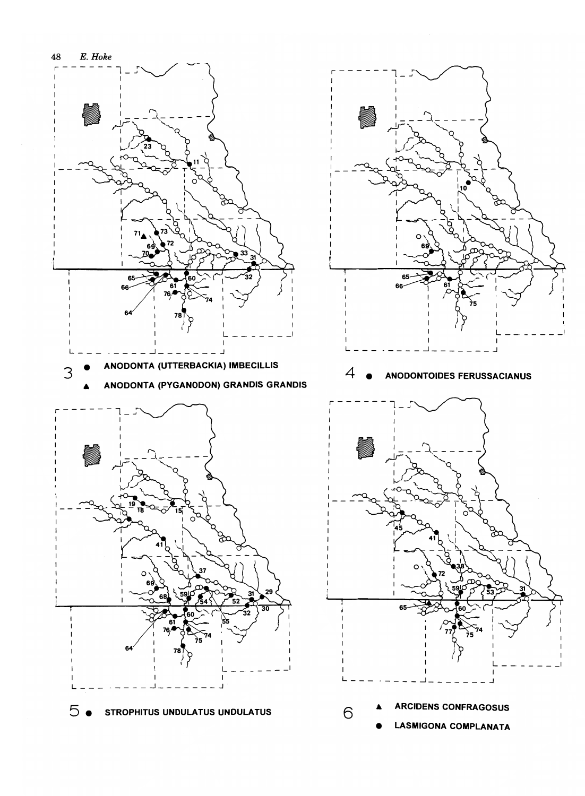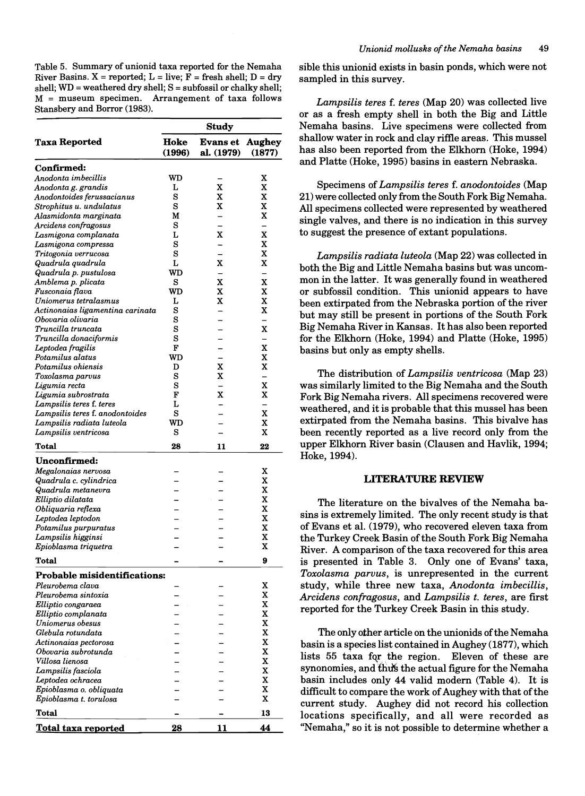Table 5. Summary of unionid taxa reported for the Nemaha River Basins.  $X =$  reported;  $L =$  live;  $F =$  fresh shell;  $D =$  dry shell;  $WD = weathered$  dry shell;  $S = subfossil$  or chalky shell; M = museum specimen. Arrangement of taxa follows Stansbery and Borror (1983).

|                                                   | <b>Study</b>   |                               |                         |  |  |  |  |  |  |
|---------------------------------------------------|----------------|-------------------------------|-------------------------|--|--|--|--|--|--|
| <b>Taxa Reported</b>                              | Hoke<br>(1996) | <b>Evans et</b><br>al. (1979) | <b>Aughey</b><br>(1877) |  |  |  |  |  |  |
| <b>Confirmed:</b>                                 |                |                               |                         |  |  |  |  |  |  |
| Anodonta imbecillis                               | WD             |                               | x                       |  |  |  |  |  |  |
| Anodonta g. grandis                               | L              | x                             | x                       |  |  |  |  |  |  |
| Anodontoides ferussacianus                        | s              | x                             | x                       |  |  |  |  |  |  |
| Strophitus u. undulatus                           | S              | $\mathbf x$                   | x                       |  |  |  |  |  |  |
| Alasmidonta marginata                             | M              |                               | x                       |  |  |  |  |  |  |
| Arcidens confragosus                              | S              |                               |                         |  |  |  |  |  |  |
| Lasmigona complanata                              | L              | x                             | x                       |  |  |  |  |  |  |
| Lasmigona compressa                               | s              |                               | x                       |  |  |  |  |  |  |
| Tritogonia verrucosa                              | S              |                               | x                       |  |  |  |  |  |  |
| Quadrula quadrula                                 | L              | X                             | x                       |  |  |  |  |  |  |
| Quadrula p. pustulosa                             | WD             |                               |                         |  |  |  |  |  |  |
| Amblema p. plicata                                | s              | X                             | $\mathbf x$             |  |  |  |  |  |  |
| Fusconaia flava                                   | WD             | X                             | x                       |  |  |  |  |  |  |
| Uniomerus tetralasmus                             | L              | X                             | X                       |  |  |  |  |  |  |
| Actinonaias ligamentina carinata                  | s              |                               | x                       |  |  |  |  |  |  |
| Obovaria olivaria                                 | S              |                               |                         |  |  |  |  |  |  |
| Truncilla truncata                                | S              |                               | x                       |  |  |  |  |  |  |
| Truncilla donaciformis                            | S              |                               |                         |  |  |  |  |  |  |
| Leptodea fragilis                                 | F              |                               | $\mathbf x$             |  |  |  |  |  |  |
| Potamilus alatus                                  | WD             |                               | x                       |  |  |  |  |  |  |
| Potamilus ohiensis                                | D              | X                             | $\mathbf x$             |  |  |  |  |  |  |
| Toxolasma parvus                                  | S              | x                             |                         |  |  |  |  |  |  |
| Ligumia recta                                     | s              |                               | x                       |  |  |  |  |  |  |
| Ligumia subrostrata                               | F              | X                             | x                       |  |  |  |  |  |  |
| Lampsilis teres f. teres                          | L<br>S         |                               | -<br>X                  |  |  |  |  |  |  |
| Lampsilis teres f. anodontoides                   | WD             |                               | X                       |  |  |  |  |  |  |
| Lampsilis radiata luteola<br>Lampsilis ventricosa | S              |                               | X                       |  |  |  |  |  |  |
| Total                                             | 28             | 11                            | 22                      |  |  |  |  |  |  |
| Unconfirmed:                                      |                |                               |                         |  |  |  |  |  |  |
| Megalonaias nervosa                               |                |                               | x                       |  |  |  |  |  |  |
| Quadrula c. cylindrica                            |                |                               | x                       |  |  |  |  |  |  |
| Quadrula metanevra                                |                |                               | x                       |  |  |  |  |  |  |
| Elliptio dilatata                                 |                |                               | X                       |  |  |  |  |  |  |
| Obliquaria reflexa                                |                |                               | x                       |  |  |  |  |  |  |
| Leptodea leptodon                                 |                |                               | x                       |  |  |  |  |  |  |
| Potamilus purpuratus                              |                |                               | X                       |  |  |  |  |  |  |
| Lampsilis higginsi                                |                |                               | X                       |  |  |  |  |  |  |
| Epioblasma triquetra                              |                |                               | x                       |  |  |  |  |  |  |
| Total                                             |                |                               | ā                       |  |  |  |  |  |  |
| <b>Probable misidentifications:</b>               |                |                               |                         |  |  |  |  |  |  |
| Pleurobema clava                                  |                |                               | x                       |  |  |  |  |  |  |
| Pleurobema sintoxia                               |                |                               | x                       |  |  |  |  |  |  |
| Elliptio congaraea                                |                |                               | x                       |  |  |  |  |  |  |
| Elliptio complanata                               |                |                               | x                       |  |  |  |  |  |  |
| Uniomerus obesus                                  |                |                               | x                       |  |  |  |  |  |  |
| Glebula rotundata                                 |                |                               | X                       |  |  |  |  |  |  |
| Actinonaias pectorosa                             |                |                               | x                       |  |  |  |  |  |  |
| Obovaria subrotunda                               |                |                               | x                       |  |  |  |  |  |  |
| Villosa lienosa                                   |                |                               | $\mathbf x$             |  |  |  |  |  |  |
| Lampsilis fasciola                                |                |                               | x                       |  |  |  |  |  |  |
| Leptodea ochracea                                 |                |                               | x                       |  |  |  |  |  |  |
| Epioblasma o. obliquata                           |                |                               | x                       |  |  |  |  |  |  |
| Epioblasma t. torulosa                            |                |                               | x                       |  |  |  |  |  |  |
| Total                                             |                |                               | 13                      |  |  |  |  |  |  |
| <u>Total taxa reported</u>                        | 28             | 11                            | 44                      |  |  |  |  |  |  |

sible this unionid exists in basin ponds, which were not sampled in this survey.

*Lampsilis teres* f. *teres* (Map 20) was collected live or as a fresh empty shell in both the Big and Little Nemaha basins. Live specimens were collected from shallow water in rock and clay riftle areas. This mussel has also been reported from the Elkhorn (Hoke, 1994) and Platte (Hoke, 1995) basins in eastern Nebraska.

Specimens of *Lampsilis teres* f. *anodontoides* (Map 21) were collected only from the South Fork Big Nemaha. All specimens collected were represented by weathered single valves, and there is no indication in this survey to suggest the presence of extant populations.

*Lampsilis radiata luteola* (Map 22) was collected in both the Big and Little Nemaha basins but was uncommon in the latter. It was generally found in weathered or subfossil condition. This unionid appears to have been extirpated from the Nebraska portion of the river but may still be present in portions of the South Fork Big Nemaha River in Kansas. It has also been reported for the Elkhorn (Hoke, 1994) and Platte (Hoke, 1995) basins but only as empty shells.

The distribution of *Lampsilis ventricosa* (Map 23) was similarly limited to the Big Nemaha and the South Fork Big Nemaha rivers. All specimens recovered were weathered, and it is probable that this mussel has been extirpated from the Nemaha basins. This bivalve has been recently reported as a live record only from the upper Elkhorn River basin (Clausen and Havlik, 1994; Hoke, 1994).

## LITERATURE REVIEW

The literature on the bivalves of the Nemaha basins is extremely limited. The only recent study is that of Evans et al. (1979), who recovered eleven taxa from the Turkey Creek Basin of the South Fork Big Nemaha River. A comparison of the taxa recovered for this area is presented in Table 3. Only one of Evans' taxa, *Toxolasma parvus,* is unrepresented in the current study, while three new taxa, *Anodonta imbecillis, Arcidens confragosus,* and *Lampsilis t. teres,* are first reported for the Turkey Creek Basin in this study.

The only other article on the unionids of the Nemaha basin is a species list contained in Aughey (1877), which lists 55 taxa for the region. Eleven of these are synonomies, and thus the actual figure for the Nemaha basin includes only 44 valid modern (Table 4). It is difficult to compare the work of Aughey with that of the current study. Aughey did not record his collection locations specifically, and all were recorded as "Nemaha," so it is not possible to determine whether a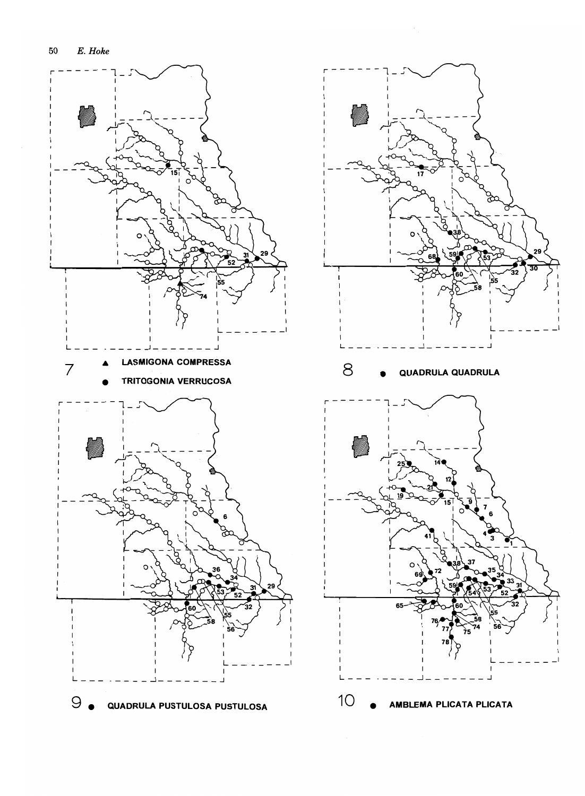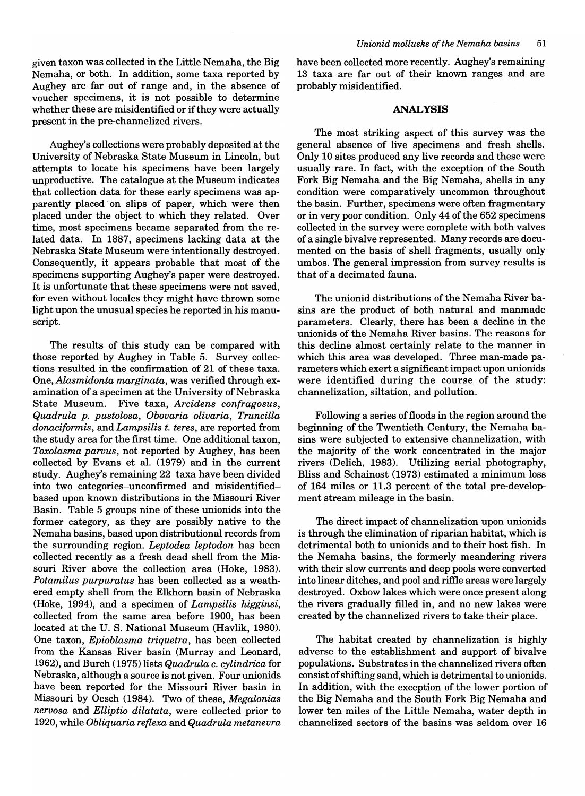given taxon was collected in the Little Nemaha, the Big Nemaha, or both. In addition, some taxa reported by Aughey are far out of range and, in the absence of voucher specimens, it is not possible to determine whether these are misidentified or if they were actually present in the pre-channelized rivers.

Aughey's collections were probably deposited at the University of Nebraska State Museum in Lincoln, but attempts to locate his specimens have been largely unproductive. The catalogue at the Museum indicates that collection data for these early specimens was apparently placed 'on slips of paper, which were then placed under the object to which they related. Over time, most specimens became separated from the related data. In 1887, specimens lacking data at the Nebraska State Museum were intentionally destroyed. Consequently, it appears probable that most of the specimens supporting Aughey's paper were destroyed. It is unfortunate that these specimens were not saved, for even without locales they might have thrown some light upon the unusual species he reported in his manuscript.

The results of this study can be compared with those reported by Aughey in Table 5. Survey collections resulted in the confirmation of 21 of these taxa. One, *Alasmidonta marginata,* was verified through examination of a specimen at the University of Nebraska State Museum. Five taxa, *Arcidens confragosus, Quadrula p. pustolosa, Obovaria olivaria, Truncilla donaciformis,* and *Lampsilis t. teres,* are reported from the study area for the first time. One additional taxon, *Toxolasma parvus,* not reported by Aughey, has been collected by Evans et al. (1979) and in the current study. Aughey's remaining 22 taxa have been divided into two categories-unconfirmed and misidentifiedbased upon known distributions in the Missouri River Basin. Table 5 groups nine of these unionids into the former category, as they are possibly native to the Nemaha basins, based upon distributional records from the surrounding region. *Leptodea leptodon* has been collected recently as a fresh dead shell from the Missouri River above the collection area (Hoke, 1983). *Potamilus purpuratus* has been collected as a weathered empty shell from the Elkhorn basin of Nebraska (Hoke, 1994), and a specimen of *Lampsilis higginsi,*  collected from the same area before 1900, has been located at the U. S. National Museum (Havlik, 1980). One taxon, *Epioblasma triquetra,* has been collected from the Kansas River basin (Murray and Leonard, 1962), and Burch (1975) lists *Quadrula* c. *cylindrica* for Nebraska, although a source is not given. Four unionids have been reported for the Missouri River basin in Missouri by Oesch (1984). Two of these, *Megalonias nervosa* and *Elliptio dilatata,* were collected prior to 1920, while *Obliquaria reflexa* and *Quadrula metanevra*  have been collected more recently. Aughey's remaining 13 taxa are far out of their known ranges and are probably misidentified.

#### **ANALYSIS**

The most striking aspect of this survey was the general absence of live specimens and fresh shells. Only 10 sites produced any live records and these were usually rare. In fact, with the exception of the South Fork Big Nemaha and the Big Nemaha, shells in any condition were comparatively uncommon throughout the basin. Further, specimens were often fragmentary or in very poor condition. Only 44 of the 652 specimens collected in the survey were complete with both valves of a single bivalve represented. Many records are documented on the basis of shell fragments, usually only umbos. The general impression from survey results is that of a decimated fauna.

The unionid distributions of the Nemaha River basins are the product of both natural and manmade parameters. Clearly, there has been a decline in the unionids of the Nemaha River basins. The reasons for this decline almost certainly relate to the manner in which this area was developed. Three man-made parameters which exert a significant impact upon unionids were identified during the course of the study: channelization, siltation, and pollution.

Following a series of floods in the region around the beginning of the Twentieth Century, the Nemaha basins were subjected to extensive channelization, with the majority of the work concentrated in the major rivers (Delich. 1983). Utilizing aerial photography, Bliss and Schainost (1973) estimated a minimum loss of 164 miles or 11.3 percent of the total pre-development stream mileage in the basin.

The direct impact of channelization upon unionids is through the elimination of riparian habitat, which is detrimental both to unionids and to their host fish. In the Nemaha basins, the formerly meandering rivers with their slow currents and deep pools were converted into linear ditches, and pool and riffie areas were largely destroyed. Oxbow lakes which were once present along the rivers gradually filled in, and no new lakes were created by the channelized rivers to take their place.

The habitat created by channelization is highly adverse to the establishment and support of bivalve populations. Substrates in the channelized rivers often consist of shifting sand, which is detrimental to unionids. In addition, with the exception of the lower portion of the Big Nemaha and the South Fork Big Nemaha and lower ten miles of the Little Nemaha, water depth in channelized sectors of the basins was seldom over 16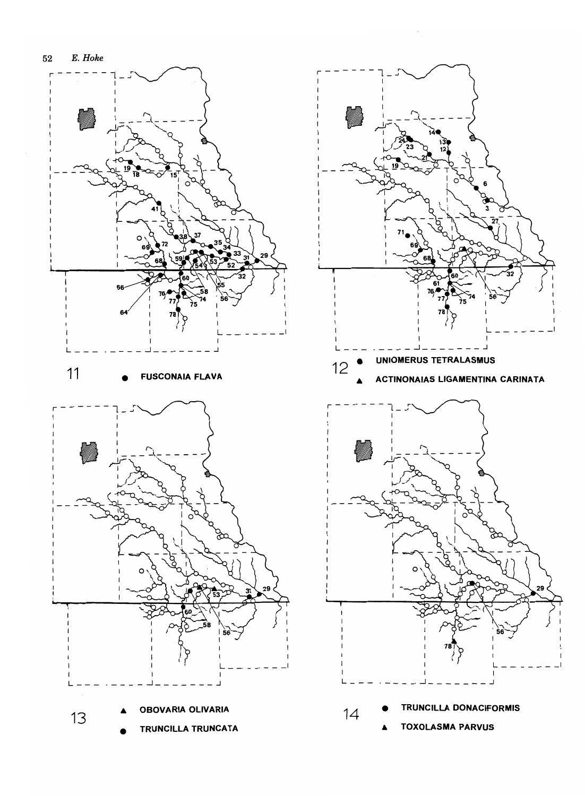



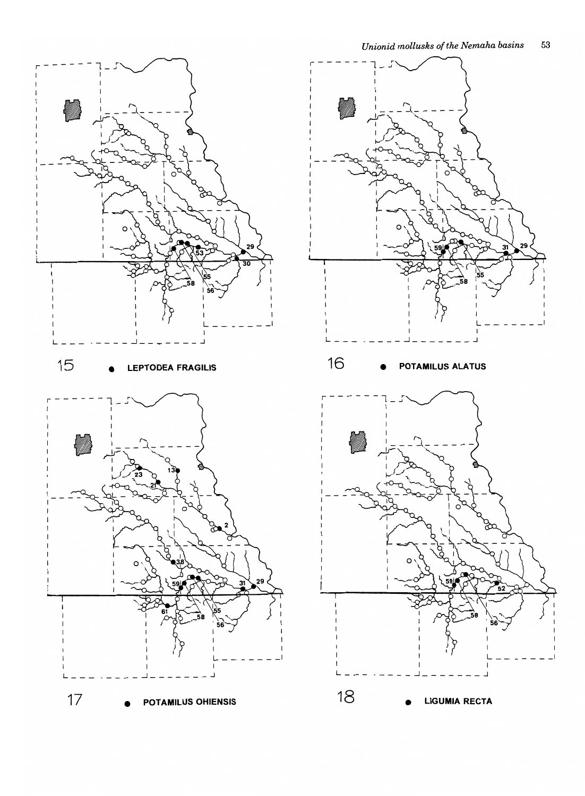

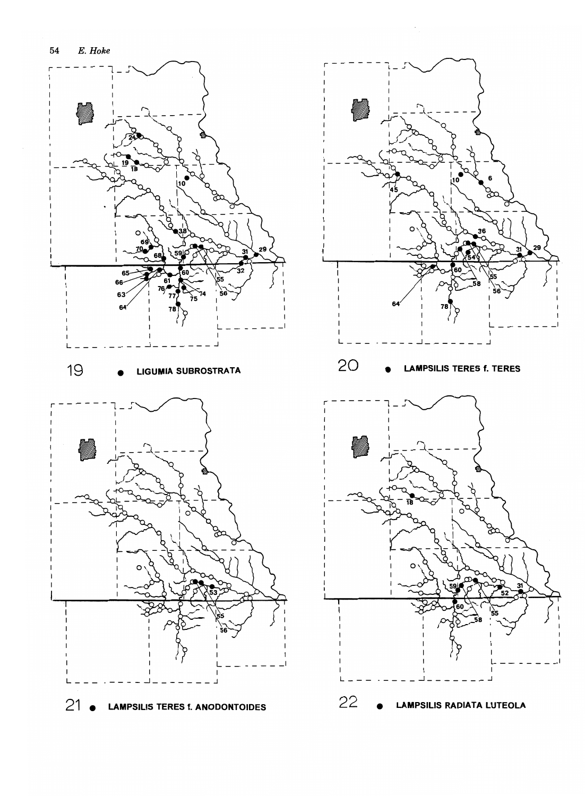

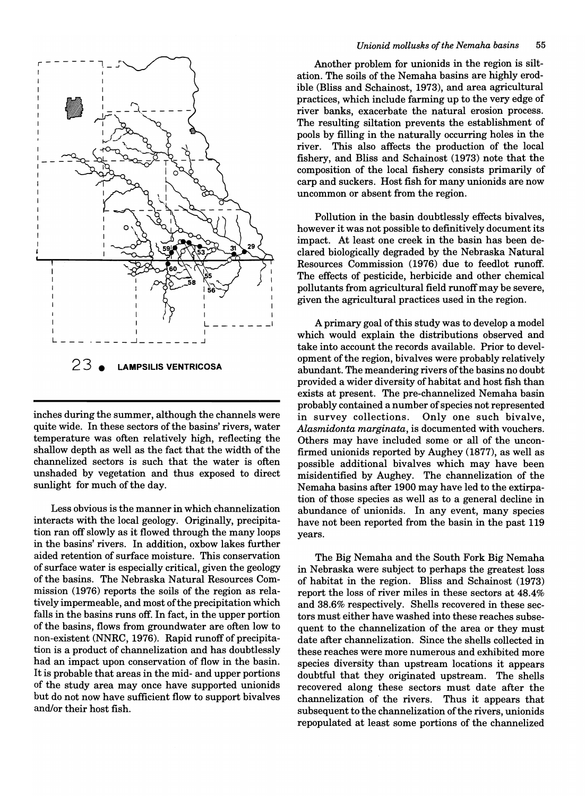

inches during the summer, although the channels were quite wide\_ **In** these sectors of the basins' rivers, water temperature was often relatively high, reflecting the shallow depth as well as the fact that the width of the channelized sectors is such that the water is often unshaded by vegetation and thus exposed to direct sunlight for much of the day.

Less obvious is the manner in which channelization interacts with the local geology. Originally, precipitation ran off slowly as it flowed through the many loops in the basins' rivers. **In** addition, oxbow lakes further aided retention of surface moisture. This conservation of surface water is especially critical, given the geology of the basins. The Nebraska Natural Resources Commission (1976) reports the soils of the region as relatively impermeable, and most of the precipitation which falls in the basins runs off. **In** fact, in the upper portion of the basins, flows from groundwater are often low to non-existent (NNRC, 1976). Rapid runoff of precipitation is a product of channelization and has doubtlessly had an impact upon conservation of flow in the basin. It is probable that areas in the mid- and upper portions of the study area may once have supported unionids but do not now have sufficient flow to support bivalves and/or their host fish.

Another problem for unionids in the region is siltation. The soils of the Nemaha basins are highly erodible (Bliss and Schainost, 1973), and area agricultural practices, which include farming up to the very edge of river banks, exacerbate the natural erosion process. The resulting siltation prevents the establishment of pools by filling in the naturally occurring holes in the river. This also affects the production of the local fishery, and Bliss and Schainost (1973) note that the composition of the local fishery consists primarily of carp and suckers. Host fish for many unionids are now uncommon or absent from the region.

Pollution in the basin doubtlessly effects bivalves, however it was not possible to definitively document its impact. At least one creek in the basin has been declared biologically degraded by the Nebraska Natural Resources Commission (1976) due to feedlot runoff. The effects of pesticide, herbicide and other chemical pollutants from agricultural field runoff may be severe, given the agricultural practices used in the region.

A primary goal of this study was to develop a model which would explain the distributions observed and take into account the records available. Prior to development of the region, bivalves were probably relatively abundant. The meandering rivers of the basins no doubt provided a wider diversity of habitat and host fish than exists at present. The pre-channelized Nemaha basin probably contained a number of species not represented in survey collections. Only one such bivalve, *Alasmidonta marginata,* is documented with vouchers. Others may have included some or all of the unconfirmed unionids reported by Aughey (1877), as well as possible additional bivalves which may have been misidentified by Aughey. The channelization of the Nemaha basins after 1900 may have led to the extirpation of those species as well as to a general decline in abundance of unionids. **In** any event, many species have not been reported from the basin in the past 119 years.

The Big Nemaha and the South Fork Big Nemaha in Nebraska were subject to perhaps the greatest loss of habitat in the region. Bliss and Schainost (1973) report the loss of river miles in these sectors at 48.4% and 38.6% respectively. Shells recovered in these sectors must either have washed into these reaches subsequent to the channelization of the area or they must date after channelization. Since the shells collected in these reaches were more numerous and exhibited more species diversity than upstream locations it appears doubtful that they originated upstream. The shells recovered along these sectors must date after the channelization of the rivers. Thus it appears that subsequent to the channelization of the rivers, unionids repopulated at least some portions of the channelized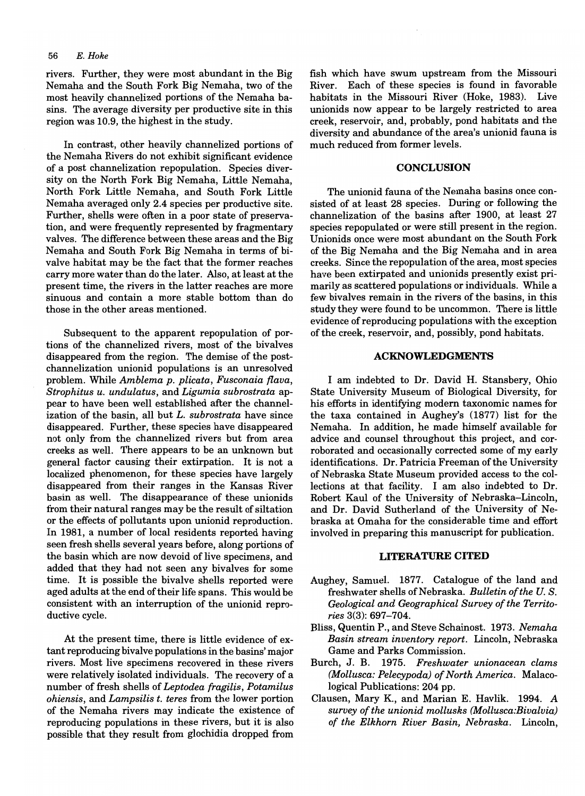#### *56 E. Hoke*

rivers. Further, they were most abundant in the Big Nemaha and the South Fork Big Nemaha, two of the most heavily channelized portions of the Nemaha basins. The average diversity per productive site in this region was 10.9, the highest in the study.

In contrast, other heavily channelized portions of the Nemaha Rivers do not exhibit significant evidence of a post channelization repopulation. Species diversity on the North Fork Big Nemaha, Little Nemaha, North Fork Little Nemaha, and South Fork Little Nemaha averaged only 2.4 species per productive site. Further, shells were often in a poor state of preservation, and were frequently represented by fragmentary valves. The difference between these areas and the Big Nemaha and South Fork Big Nemaha in terms of bivalve habitat may be the fact that the former reaches carry more water than do the later. Also, at least at the present time, the rivers in the latter reaches are more sinuous and contain a more stable bottom than do those in the other areas mentioned.

Subsequent to the apparent repopulation of portions of the channelized rivers, most of the bivalves disappeared from the region. The demise of the postchannelization unionid populations is an unresolved problem. While *Amblema p. plicata, Fusconaia /lava, Strophitus u. undulatus,* and *Ligumia subrostrata* appear to have been well established after the channelization of the basin, all but *L. subrostrata* have since disappeared. Further, these species have disappeared not only from the channelized rivers but from area creeks as well. There appears to be an unknown but general factor causing their extirpation. It is not a localized phenomenon, for these species have largely disappeared from their ranges in the Kansas River basin as well. The disappearance of these unionids from their natural ranges may be the result of siltation or the effects of pollutants upon unionid reproduction. In 1981, a number of local residents reported having seen fresh shells several years before, along portions of the basin which are now devoid of live specimens, and added that they had not seen any bivalves for some time. It is possible the bivalve shells reported were aged adults at the end of their life spans. This would be consistent with an interruption of the unionid reproductive cycle.

At the present time, there is little evidence of extant reproducing bivalve populations in the basins' major rivers. Most live specimens recovered in these rivers were relatively isolated individuals. The recovery of a number of fresh shells of *Leptodea fragilis, Potamilus ohiensis,* and *Lampsilis t. teres* from the lower portion of the Nemaha rivers may indicate the existence of reproducing populations in these rivers, but it is also possible that they result from glochidia dropped from

fish which have swum upstream from the Missouri River. Each of these species is found in favorable habitats in the Missouri River (Hoke, 1983). Live unionids now appear to be largely restricted to area creek, reservoir, and, probably, pond habitats and the diversity and abundance of the area's unionid fauna is much reduced from former levels.

#### **CONCLUSION**

The unionid fauna of the Nemaha basins once consisted of at least 28 species. During or following the channelization of the basins after 1900, at least 27 species repopulated or were still present in the region. Unionids once were most abundant on the South Fork of the Big Nemaha and the Big Nemaha and in area creeks. Since the repopulation of the area, most species have been extirpated and unionids presently exist primarilyas scattered populations or individuals. While a few bivalves remain in the rivers of the basins, in this study they were found to be uncommon. There is little evidence of reproducing populations with the exception of the creek, reservoir, and, possibly, pond habitats.

#### **ACKNOWLEDGMENTS**

I am indebted to Dr. David H. Stansbery, Ohio State University Museum of Biological Diversity, for his efforts in identifying modern taxonomic names for the taxa contained in Aughey's (1877) list for the Nemaha. In addition, he made himself available for advice and counsel throughout this project, and corroborated and occasionally corrected some of my early identifications. Dr. Patricia Freeman of the University of Nebraska State Museum provided access to the collections at that facility. I am also indebted to Dr. Robert Kaul of the University of Nebraska-Lincoln, and Dr. David Sutherland of the University of Nebraska at Omaha for the considerable time and effort involved in preparing this manuscript for publication.

#### **UTERATURE CITED**

- Aughey, Samuel. 1877. Catalogue of the land and freshwater shells of Nebraska. *Bulletin of the U.S. Geological and Geographical Survey of the Territories* 3(3): 697-704.
- Bliss, Quentin P., and Steve Schainost. 1973. *Nemaha Basin stream inventory report.* Lincoln, Nebraska Game and Parks Commission.
- Burch, J. B. 1975. *Freshwater unionacean clams (Mollusca: Pelecypoda) of North America.* Malacological Publications: 204 pp.
- Clausen, Mary K., and Marian E. Havlik. 1994. A *survey of the unionid mollusks (Mollusca:Bivalvia) of the Elkhorn River Basin, Nebraska.* Lincoln,